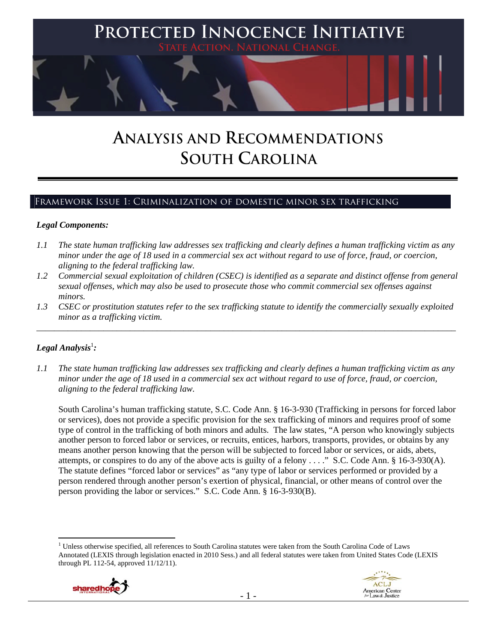

# **ANALYSIS AND RECOMMENDATIONS SOUTH CAROLINA**

# Framework Issue 1: Criminalization of domestic minor sex trafficking

#### *Legal Components:*

- *1.1 The state human trafficking law addresses sex trafficking and clearly defines a human trafficking victim as any minor under the age of 18 used in a commercial sex act without regard to use of force, fraud, or coercion, aligning to the federal trafficking law.*
- *1.2 Commercial sexual exploitation of children (CSEC) is identified as a separate and distinct offense from general sexual offenses, which may also be used to prosecute those who commit commercial sex offenses against minors.*
- *1.3 CSEC or prostitution statutes refer to the sex trafficking statute to identify the commercially sexually exploited minor as a trafficking victim.*

\_\_\_\_\_\_\_\_\_\_\_\_\_\_\_\_\_\_\_\_\_\_\_\_\_\_\_\_\_\_\_\_\_\_\_\_\_\_\_\_\_\_\_\_\_\_\_\_\_\_\_\_\_\_\_\_\_\_\_\_\_\_\_\_\_\_\_\_\_\_\_\_\_\_\_\_\_\_\_\_\_\_\_\_\_\_\_\_\_\_\_\_\_\_

# $\bm{\mathit{Legal\, Analysis}^{\text{!}}:}$

*1.1 The state human trafficking law addresses sex trafficking and clearly defines a human trafficking victim as any minor under the age of 18 used in a commercial sex act without regard to use of force, fraud, or coercion, aligning to the federal trafficking law.*

South Carolina's human trafficking statute, S.C. Code Ann. § 16-3-930 (Trafficking in persons for forced labor or services), does not provide a specific provision for the sex trafficking of minors and requires proof of some type of control in the trafficking of both minors and adults. The law states, "A person who knowingly subjects another person to forced labor or services, or recruits, entices, harbors, transports, provides, or obtains by any means another person knowing that the person will be subjected to forced labor or services, or aids, abets, attempts, or conspires to do any of the above acts is guilty of a felony . . . ." S.C. Code Ann. § 16-3-930(A). The statute defines "forced labor or services" as "any type of labor or services performed or provided by a person rendered through another person's exertion of physical, financial, or other means of control over the person providing the labor or services." S.C. Code Ann. § 16-3-930(B).

 <sup>1</sup> Unless otherwise specified, all references to South Carolina statutes were taken from the South Carolina Code of Laws Annotated (LEXIS through legislation enacted in 2010 Sess.) and all federal statutes were taken from United States Code (LEXIS through PL 112-54, approved 11/12/11).



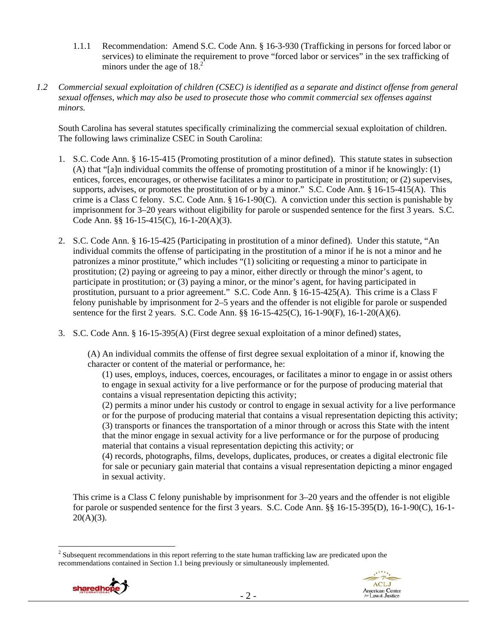- 1.1.1 Recommendation: Amend S.C. Code Ann. § 16-3-930 (Trafficking in persons for forced labor or services) to eliminate the requirement to prove "forced labor or services" in the sex trafficking of minors under the age of  $18.<sup>2</sup>$
- *1.2 Commercial sexual exploitation of children (CSEC) is identified as a separate and distinct offense from general sexual offenses, which may also be used to prosecute those who commit commercial sex offenses against minors.*

South Carolina has several statutes specifically criminalizing the commercial sexual exploitation of children. The following laws criminalize CSEC in South Carolina:

- 1. S.C. Code Ann. § 16-15-415 (Promoting prostitution of a minor defined). This statute states in subsection (A) that "[a]n individual commits the offense of promoting prostitution of a minor if he knowingly: (1) entices, forces, encourages, or otherwise facilitates a minor to participate in prostitution; or (2) supervises, supports, advises, or promotes the prostitution of or by a minor." S.C. Code Ann. § 16-15-415(A). This crime is a Class C felony. S.C. Code Ann. § 16-1-90(C). A conviction under this section is punishable by imprisonment for 3–20 years without eligibility for parole or suspended sentence for the first 3 years. S.C. Code Ann. §§ 16-15-415(C), 16-1-20(A)(3).
- 2. S.C. Code Ann. § 16-15-425 (Participating in prostitution of a minor defined). Under this statute, "An individual commits the offense of participating in the prostitution of a minor if he is not a minor and he patronizes a minor prostitute," which includes "(1) soliciting or requesting a minor to participate in prostitution; (2) paying or agreeing to pay a minor, either directly or through the minor's agent, to participate in prostitution; or (3) paying a minor, or the minor's agent, for having participated in prostitution, pursuant to a prior agreement." S.C. Code Ann. § 16-15-425(A). This crime is a Class F felony punishable by imprisonment for 2–5 years and the offender is not eligible for parole or suspended sentence for the first 2 years. S.C. Code Ann. §§ 16-15-425(C), 16-1-90(F), 16-1-20(A)(6).
- 3. S.C. Code Ann. § 16-15-395(A) (First degree sexual exploitation of a minor defined) states,

(A) An individual commits the offense of first degree sexual exploitation of a minor if, knowing the character or content of the material or performance, he:

(1) uses, employs, induces, coerces, encourages, or facilitates a minor to engage in or assist others to engage in sexual activity for a live performance or for the purpose of producing material that contains a visual representation depicting this activity;

(2) permits a minor under his custody or control to engage in sexual activity for a live performance or for the purpose of producing material that contains a visual representation depicting this activity; (3) transports or finances the transportation of a minor through or across this State with the intent that the minor engage in sexual activity for a live performance or for the purpose of producing material that contains a visual representation depicting this activity; or

(4) records, photographs, films, develops, duplicates, produces, or creates a digital electronic file for sale or pecuniary gain material that contains a visual representation depicting a minor engaged in sexual activity.

This crime is a Class C felony punishable by imprisonment for 3–20 years and the offender is not eligible for parole or suspended sentence for the first 3 years. S.C. Code Ann. §§ 16-15-395(D), 16-1-90(C), 16-1-  $20(A)(3)$ .

<sup>&</sup>lt;sup>2</sup> Subsequent recommendations in this report referring to the state human trafficking law are predicated upon the recommendations contained in Section 1.1 being previously or simultaneously implemented.



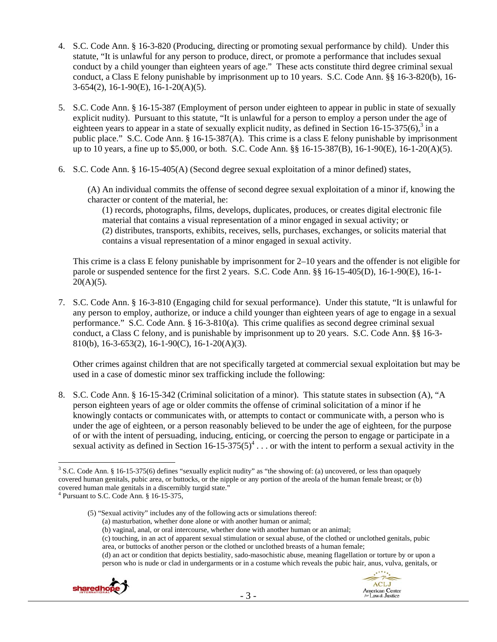- 4. S.C. Code Ann. § 16-3-820 (Producing, directing or promoting sexual performance by child). Under this statute, "It is unlawful for any person to produce, direct, or promote a performance that includes sexual conduct by a child younger than eighteen years of age." These acts constitute third degree criminal sexual conduct, a Class E felony punishable by imprisonment up to 10 years. S.C. Code Ann. §§ 16-3-820(b), 16- 3-654(2), 16-1-90(E), 16-1-20(A)(5).
- 5. S.C. Code Ann. § 16-15-387 (Employment of person under eighteen to appear in public in state of sexually explicit nudity). Pursuant to this statute, "It is unlawful for a person to employ a person under the age of eighteen years to appear in a state of sexually explicit nudity, as defined in Section 16-15-375(6), $3$  in a public place." S.C. Code Ann. § 16-15-387(A). This crime is a class E felony punishable by imprisonment up to 10 years, a fine up to \$5,000, or both. S.C. Code Ann. §§ 16-15-387(B), 16-1-90(E), 16-1-20(A)(5).
- 6. S.C. Code Ann. § 16-15-405(A) (Second degree sexual exploitation of a minor defined) states,

(A) An individual commits the offense of second degree sexual exploitation of a minor if, knowing the character or content of the material, he:

(1) records, photographs, films, develops, duplicates, produces, or creates digital electronic file material that contains a visual representation of a minor engaged in sexual activity; or (2) distributes, transports, exhibits, receives, sells, purchases, exchanges, or solicits material that contains a visual representation of a minor engaged in sexual activity.

This crime is a class E felony punishable by imprisonment for 2–10 years and the offender is not eligible for parole or suspended sentence for the first 2 years. S.C. Code Ann. §§ 16-15-405(D), 16-1-90(E), 16-1- $20(A)(5)$ .

7. S.C. Code Ann. § 16-3-810 (Engaging child for sexual performance). Under this statute, "It is unlawful for any person to employ, authorize, or induce a child younger than eighteen years of age to engage in a sexual performance." S.C. Code Ann. § 16-3-810(a). This crime qualifies as second degree criminal sexual conduct, a Class C felony, and is punishable by imprisonment up to 20 years. S.C. Code Ann. §§ 16-3- 810(b), 16-3-653(2), 16-1-90(C), 16-1-20(A)(3).

Other crimes against children that are not specifically targeted at commercial sexual exploitation but may be used in a case of domestic minor sex trafficking include the following:

8. S.C. Code Ann. § 16-15-342 (Criminal solicitation of a minor). This statute states in subsection (A), "A person eighteen years of age or older commits the offense of criminal solicitation of a minor if he knowingly contacts or communicates with, or attempts to contact or communicate with, a person who is under the age of eighteen, or a person reasonably believed to be under the age of eighteen, for the purpose of or with the intent of persuading, inducing, enticing, or coercing the person to engage or participate in a sexual activity as defined in Section  $16-15-375(5)^4$ ... or with the intent to perform a sexual activity in the

(a) masturbation, whether done alone or with another human or animal;

<sup>(</sup>d) an act or condition that depicts bestiality, sado-masochistic abuse, meaning flagellation or torture by or upon a person who is nude or clad in undergarments or in a costume which reveals the pubic hair, anus, vulva, genitals, or



 <sup>3</sup> S.C. Code Ann. § 16-15-375(6) defines "sexually explicit nudity" as "the showing of: (a) uncovered, or less than opaquely covered human genitals, pubic area, or buttocks, or the nipple or any portion of the areola of the human female breast; or (b) covered human male genitals in a discernibly turgid state."

Pursuant to S.C. Code Ann. § 16-15-375,

<sup>(5) &</sup>quot;Sexual activity" includes any of the following acts or simulations thereof:

<sup>(</sup>b) vaginal, anal, or oral intercourse, whether done with another human or an animal;

<sup>(</sup>c) touching, in an act of apparent sexual stimulation or sexual abuse, of the clothed or unclothed genitals, pubic area, or buttocks of another person or the clothed or unclothed breasts of a human female;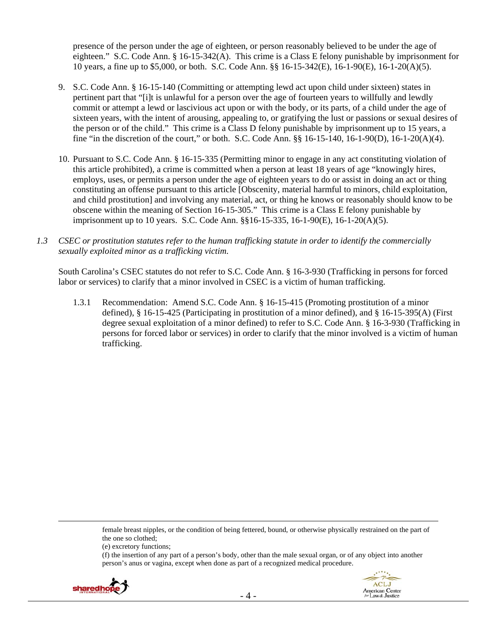presence of the person under the age of eighteen, or person reasonably believed to be under the age of eighteen." S.C. Code Ann. § 16-15-342(A). This crime is a Class E felony punishable by imprisonment for 10 years, a fine up to \$5,000, or both. S.C. Code Ann. §§ 16-15-342(E), 16-1-90(E), 16-1-20(A)(5).

- 9. S.C. Code Ann. § 16-15-140 (Committing or attempting lewd act upon child under sixteen) states in pertinent part that "[i]t is unlawful for a person over the age of fourteen years to willfully and lewdly commit or attempt a lewd or lascivious act upon or with the body, or its parts, of a child under the age of sixteen years, with the intent of arousing, appealing to, or gratifying the lust or passions or sexual desires of the person or of the child." This crime is a Class D felony punishable by imprisonment up to 15 years, a fine "in the discretion of the court," or both. S.C. Code Ann. §§ 16-15-140, 16-1-90(D), 16-1-20(A)(4).
- 10. Pursuant to S.C. Code Ann. § 16-15-335 (Permitting minor to engage in any act constituting violation of this article prohibited), a crime is committed when a person at least 18 years of age "knowingly hires, employs, uses, or permits a person under the age of eighteen years to do or assist in doing an act or thing constituting an offense pursuant to this article [Obscenity, material harmful to minors, child exploitation, and child prostitution] and involving any material, act, or thing he knows or reasonably should know to be obscene within the meaning of Section 16-15-305." This crime is a Class E felony punishable by imprisonment up to 10 years. S.C. Code Ann. §§16-15-335, 16-1-90(E), 16-1-20(A)(5).
- *1.3 CSEC or prostitution statutes refer to the human trafficking statute in order to identify the commercially sexually exploited minor as a trafficking victim.*

South Carolina's CSEC statutes do not refer to S.C. Code Ann. § 16-3-930 (Trafficking in persons for forced labor or services) to clarify that a minor involved in CSEC is a victim of human trafficking.

1.3.1 Recommendation: Amend S.C. Code Ann. § 16-15-415 (Promoting prostitution of a minor defined), § 16-15-425 (Participating in prostitution of a minor defined), and § 16-15-395(A) (First degree sexual exploitation of a minor defined) to refer to S.C. Code Ann. § 16-3-930 (Trafficking in persons for forced labor or services) in order to clarify that the minor involved is a victim of human trafficking.

female breast nipples, or the condition of being fettered, bound, or otherwise physically restrained on the part of the one so clothed;

(f) the insertion of any part of a person's body, other than the male sexual organ, or of any object into another person's anus or vagina, except when done as part of a recognized medical procedure.





<u> 1989 - Jan Samuel Barbara, martxa a shekara tsa 1989 - An tsa 1989 - An tsa 1989 - An tsa 1989 - An tsa 198</u>

<sup>(</sup>e) excretory functions;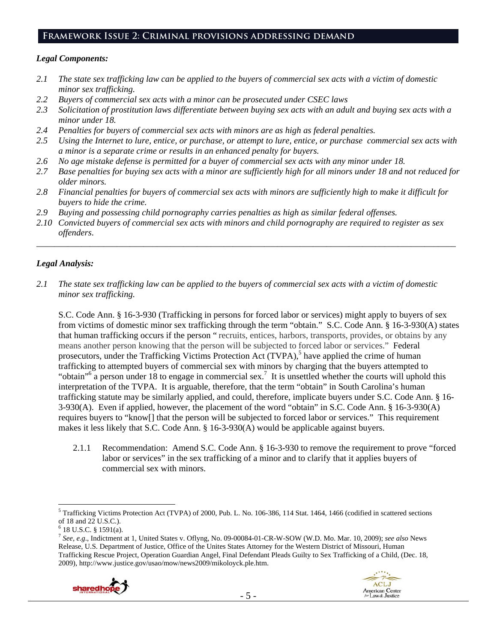# **Framework Issue 2: Criminal provisions addressing demand**

#### *Legal Components:*

- *2.1 The state sex trafficking law can be applied to the buyers of commercial sex acts with a victim of domestic minor sex trafficking.*
- *2.2 Buyers of commercial sex acts with a minor can be prosecuted under CSEC laws*
- *2.3 Solicitation of prostitution laws differentiate between buying sex acts with an adult and buying sex acts with a minor under 18.*
- *2.4 Penalties for buyers of commercial sex acts with minors are as high as federal penalties.*
- *2.5 Using the Internet to lure, entice, or purchase, or attempt to lure, entice, or purchase commercial sex acts with a minor is a separate crime or results in an enhanced penalty for buyers.*
- *2.6 No age mistake defense is permitted for a buyer of commercial sex acts with any minor under 18.*
- *2.7 Base penalties for buying sex acts with a minor are sufficiently high for all minors under 18 and not reduced for older minors.*
- *2.8 Financial penalties for buyers of commercial sex acts with minors are sufficiently high to make it difficult for buyers to hide the crime.*
- *2.9 Buying and possessing child pornography carries penalties as high as similar federal offenses.*
- *2.10 Convicted buyers of commercial sex acts with minors and child pornography are required to register as sex offenders*.

\_\_\_\_\_\_\_\_\_\_\_\_\_\_\_\_\_\_\_\_\_\_\_\_\_\_\_\_\_\_\_\_\_\_\_\_\_\_\_\_\_\_\_\_\_\_\_\_\_\_\_\_\_\_\_\_\_\_\_\_\_\_\_\_\_\_\_\_\_\_\_\_\_\_\_\_\_\_\_\_\_\_\_\_\_\_\_\_\_\_\_\_\_\_

# *Legal Analysis:*

*2.1 The state sex trafficking law can be applied to the buyers of commercial sex acts with a victim of domestic minor sex trafficking.*

S.C. Code Ann. § 16-3-930 (Trafficking in persons for forced labor or services) might apply to buyers of sex from victims of domestic minor sex trafficking through the term "obtain." S.C. Code Ann. § 16-3-930(A) states that human trafficking occurs if the person " recruits, entices, harbors, transports, provides, or obtains by any means another person knowing that the person will be subjected to forced labor or services." Federal prosecutors, under the Trafficking Victims Protection Act (TVPA),<sup>5</sup> have applied the crime of human trafficking to attempted buyers of commercial sex with minors by charging that the buyers attempted to "obtain"<sup>6</sup> a person under 18 to engage in commercial sex.<sup>7</sup> It is unsettled whether the courts will uphold this interpretation of the TVPA. It is arguable, therefore, that the term "obtain" in South Carolina's human trafficking statute may be similarly applied, and could, therefore, implicate buyers under S.C. Code Ann. § 16- 3-930(A). Even if applied, however, the placement of the word "obtain" in S.C. Code Ann. § 16-3-930(A) requires buyers to "know[] that the person will be subjected to forced labor or services." This requirement makes it less likely that S.C. Code Ann. § 16-3-930(A) would be applicable against buyers.

2.1.1 Recommendation: Amend S.C. Code Ann. § 16-3-930 to remove the requirement to prove "forced labor or services" in the sex trafficking of a minor and to clarify that it applies buyers of commercial sex with minors.

 <sup>18</sup> U.S.C. § 1591(a). 7 *See, e.g*., Indictment at 1, United States v. Oflyng, No. 09-00084-01-CR-W-SOW (W.D. Mo. Mar. 10, 2009); *see also* News Release, U.S. Department of Justice, Office of the Unites States Attorney for the Western District of Missouri, Human Trafficking Rescue Project, Operation Guardian Angel, Final Defendant Pleads Guilty to Sex Trafficking of a Child, (Dec. 18, 2009), http://www.justice.gov/usao/mow/news2009/mikoloyck.ple.htm.



 5 Trafficking Victims Protection Act (TVPA) of 2000, Pub. L. No. 106-386, 114 Stat. 1464, 1466 (codified in scattered sections of 18 and 22 U.S.C.).

 $6$  18 U.S.C. § 1591(a).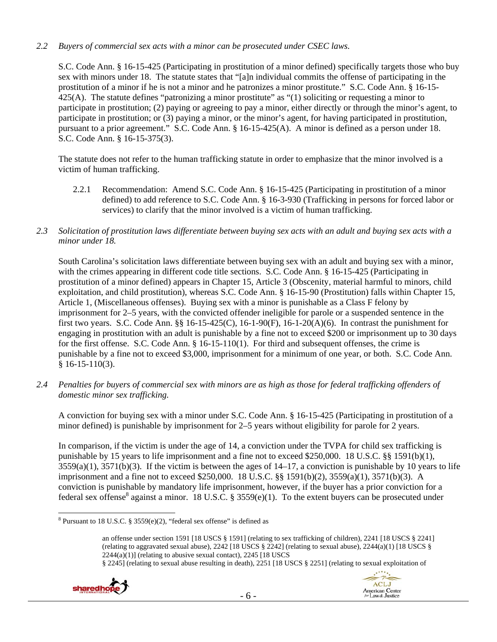# *2.2 Buyers of commercial sex acts with a minor can be prosecuted under CSEC laws.*

S.C. Code Ann. § 16-15-425 (Participating in prostitution of a minor defined) specifically targets those who buy sex with minors under 18. The statute states that "[a]n individual commits the offense of participating in the prostitution of a minor if he is not a minor and he patronizes a minor prostitute." S.C. Code Ann. § 16-15- 425(A). The statute defines "patronizing a minor prostitute" as "(1) soliciting or requesting a minor to participate in prostitution; (2) paying or agreeing to pay a minor, either directly or through the minor's agent, to participate in prostitution; or (3) paying a minor, or the minor's agent, for having participated in prostitution, pursuant to a prior agreement." S.C. Code Ann. § 16-15-425(A). A minor is defined as a person under 18. S.C. Code Ann. § 16-15-375(3).

The statute does not refer to the human trafficking statute in order to emphasize that the minor involved is a victim of human trafficking.

- 2.2.1 Recommendation:Amend S.C. Code Ann. § 16-15-425 (Participating in prostitution of a minor defined) to add reference to S.C. Code Ann. § 16-3-930 (Trafficking in persons for forced labor or services) to clarify that the minor involved is a victim of human trafficking.
- *2.3 Solicitation of prostitution laws differentiate between buying sex acts with an adult and buying sex acts with a minor under 18.*

South Carolina's solicitation laws differentiate between buying sex with an adult and buying sex with a minor, with the crimes appearing in different code title sections. S.C. Code Ann. § 16-15-425 (Participating in prostitution of a minor defined) appears in Chapter 15, Article 3 (Obscenity, material harmful to minors, child exploitation, and child prostitution), whereas S.C. Code Ann. § 16-15-90 (Prostitution) falls within Chapter 15, Article 1, (Miscellaneous offenses). Buying sex with a minor is punishable as a Class F felony by imprisonment for 2–5 years, with the convicted offender ineligible for parole or a suspended sentence in the first two years. S.C. Code Ann. §§ 16-15-425(C), 16-1-90(F), 16-1-20(A)(6). In contrast the punishment for engaging in prostitution with an adult is punishable by a fine not to exceed \$200 or imprisonment up to 30 days for the first offense. S.C. Code Ann. § 16-15-110(1). For third and subsequent offenses, the crime is punishable by a fine not to exceed \$3,000, imprisonment for a minimum of one year, or both. S.C. Code Ann.  $$16-15-110(3)$ .

*2.4 Penalties for buyers of commercial sex with minors are as high as those for federal trafficking offenders of domestic minor sex trafficking.* 

A conviction for buying sex with a minor under S.C. Code Ann. § 16-15-425 (Participating in prostitution of a minor defined) is punishable by imprisonment for 2–5 years without eligibility for parole for 2 years.

In comparison, if the victim is under the age of 14, a conviction under the TVPA for child sex trafficking is punishable by 15 years to life imprisonment and a fine not to exceed \$250,000. 18 U.S.C. §§ 1591(b)(1),  $3559(a)(1)$ ,  $3571(b)(3)$ . If the victim is between the ages of  $14-17$ , a conviction is punishable by 10 years to life imprisonment and a fine not to exceed \$250,000. 18 U.S.C. §§ 1591(b)(2), 3559(a)(1), 3571(b)(3). A conviction is punishable by mandatory life imprisonment, however, if the buyer has a prior conviction for a federal sex offense<sup>8</sup> against a minor. 18 U.S.C. § 3559(e)(1). To the extent buyers can be prosecuted under

<sup>§ 2245] (</sup>relating to sexual abuse resulting in death), 2251 [18 USCS § 2251] (relating to sexual exploitation of





 <sup>8</sup> Pursuant to 18 U.S.C. § 3559(e)(2), "federal sex offense" is defined as

an offense under section 1591 [18 USCS § 1591] (relating to sex trafficking of children), 2241 [18 USCS § 2241] (relating to aggravated sexual abuse), 2242 [18 USCS § 2242] (relating to sexual abuse), 2244(a)(1) [18 USCS §  $2244(a)(1)$ ] (relating to abusive sexual contact),  $2245$  [18 USCS]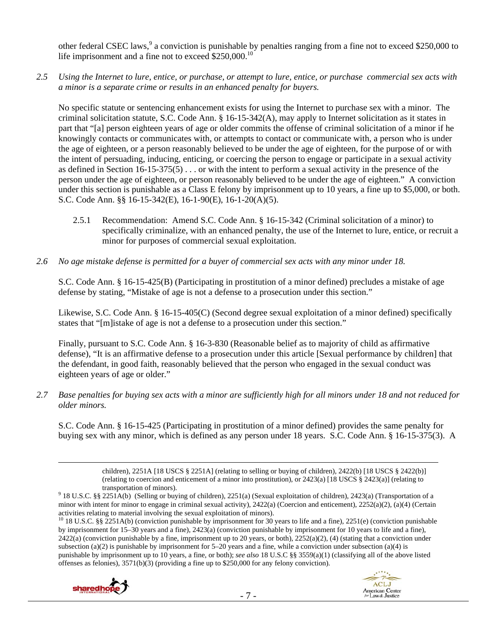other federal CSEC laws,<sup>9</sup> a conviction is punishable by penalties ranging from a fine not to exceed \$250,000 to life imprisonment and a fine not to exceed \$250,000.<sup>10</sup>

*2.5 Using the Internet to lure, entice, or purchase, or attempt to lure, entice, or purchase commercial sex acts with a minor is a separate crime or results in an enhanced penalty for buyers.* 

No specific statute or sentencing enhancement exists for using the Internet to purchase sex with a minor. The criminal solicitation statute, S.C. Code Ann.  $\S$  16-15-342(A), may apply to Internet solicitation as it states in part that "[a] person eighteen years of age or older commits the offense of criminal solicitation of a minor if he knowingly contacts or communicates with, or attempts to contact or communicate with, a person who is under the age of eighteen, or a person reasonably believed to be under the age of eighteen, for the purpose of or with the intent of persuading, inducing, enticing, or coercing the person to engage or participate in a sexual activity as defined in Section 16-15-375(5) . . . or with the intent to perform a sexual activity in the presence of the person under the age of eighteen, or person reasonably believed to be under the age of eighteen." A conviction under this section is punishable as a Class E felony by imprisonment up to 10 years, a fine up to \$5,000, or both. S.C. Code Ann. §§ 16-15-342(E), 16-1-90(E), 16-1-20(A)(5).

- 2.5.1 Recommendation: Amend S.C. Code Ann. § 16-15-342 (Criminal solicitation of a minor) to specifically criminalize, with an enhanced penalty, the use of the Internet to lure, entice, or recruit a minor for purposes of commercial sexual exploitation.
- *2.6 No age mistake defense is permitted for a buyer of commercial sex acts with any minor under 18.*

S.C. Code Ann. § 16-15-425(B) (Participating in prostitution of a minor defined) precludes a mistake of age defense by stating, "Mistake of age is not a defense to a prosecution under this section."

Likewise, S.C. Code Ann. § 16-15-405(C) (Second degree sexual exploitation of a minor defined) specifically states that "[m]istake of age is not a defense to a prosecution under this section."

Finally, pursuant to S.C. Code Ann. § 16-3-830 (Reasonable belief as to majority of child as affirmative defense), "It is an affirmative defense to a prosecution under this article [Sexual performance by children] that the defendant, in good faith, reasonably believed that the person who engaged in the sexual conduct was eighteen years of age or older."

*2.7 Base penalties for buying sex acts with a minor are sufficiently high for all minors under 18 and not reduced for older minors.* 

S.C. Code Ann. § 16-15-425 (Participating in prostitution of a minor defined) provides the same penalty for buying sex with any minor, which is defined as any person under 18 years. S.C. Code Ann. § 16-15-375(3). A

<u> Andrewski politika (za obrazu za obrazu za obrazu za obrazu za obrazu za obrazu za obrazu za obrazu za obrazu</u>

<sup>&</sup>lt;sup>10</sup> 18 U.S.C. §§ 2251A(b) (conviction punishable by imprisonment for 30 years to life and a fine), 2251(e) (conviction punishable by imprisonment for 15–30 years and a fine), 2423(a) (conviction punishable by imprisonment for 10 years to life and a fine),  $2422(a)$  (conviction punishable by a fine, imprisonment up to 20 years, or both),  $2252(a)(2)$ , (4) (stating that a conviction under subsection (a)(2) is punishable by imprisonment for 5–20 years and a fine, while a conviction under subsection (a)(4) is punishable by imprisonment up to 10 years, a fine, or both); *see also* 18 U.S.C §§ 3559(a)(1) (classifying all of the above listed offenses as felonies), 3571(b)(3) (providing a fine up to \$250,000 for any felony conviction).





children), 2251A [18 USCS § 2251A] (relating to selling or buying of children), 2422(b) [18 USCS § 2422(b)] (relating to coercion and enticement of a minor into prostitution), or  $2423(a)$  [18 USCS §  $2423(a)$ ] (relating to

transportation of minors). 9 18 U.S.C. §§ 2251A(b) (Selling or buying of children), 2251(a) (Sexual exploitation of children), 2423(a) (Transportation of a minor with intent for minor to engage in criminal sexual activity), 2422(a) (Coercion and enticement), 2252(a)(2), (a)(4) (Certain activities relating to material involving the sexual exploitation of minors).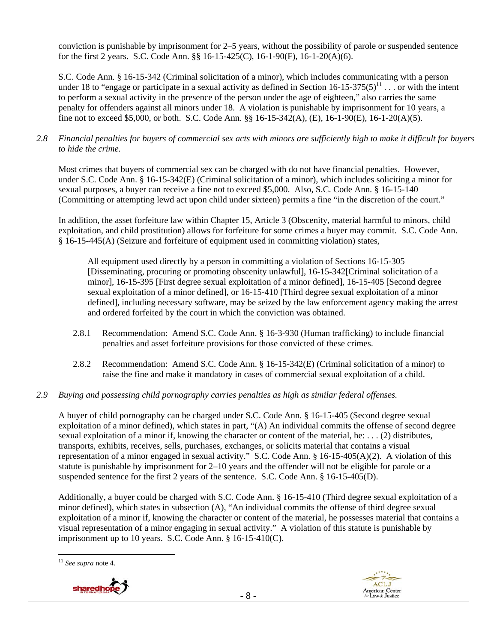conviction is punishable by imprisonment for 2–5 years, without the possibility of parole or suspended sentence for the first 2 years. S.C. Code Ann. §§ 16-15-425(C), 16-1-90(F), 16-1-20(A)(6).

S.C. Code Ann. § 16-15-342 (Criminal solicitation of a minor), which includes communicating with a person under 18 to "engage or participate in a sexual activity as defined in Section  $16-15-375(5)^{11}$ ... or with the intent to perform a sexual activity in the presence of the person under the age of eighteen," also carries the same penalty for offenders against all minors under 18. A violation is punishable by imprisonment for 10 years, a fine not to exceed \$5,000, or both. S.C. Code Ann. §§ 16-15-342(A), (E), 16-1-90(E), 16-1-20(A)(5).

*2.8 Financial penalties for buyers of commercial sex acts with minors are sufficiently high to make it difficult for buyers to hide the crime.* 

Most crimes that buyers of commercial sex can be charged with do not have financial penalties. However, under S.C. Code Ann. § 16-15-342(E) (Criminal solicitation of a minor), which includes soliciting a minor for sexual purposes, a buyer can receive a fine not to exceed \$5,000. Also, S.C. Code Ann. § 16-15-140 (Committing or attempting lewd act upon child under sixteen) permits a fine "in the discretion of the court."

In addition, the asset forfeiture law within Chapter 15, Article 3 (Obscenity, material harmful to minors, child exploitation, and child prostitution) allows for forfeiture for some crimes a buyer may commit. S.C. Code Ann. § 16-15-445(A) (Seizure and forfeiture of equipment used in committing violation) states,

All equipment used directly by a person in committing a violation of Sections 16-15-305 [Disseminating, procuring or promoting obscenity unlawful], 16-15-342[Criminal solicitation of a minor], 16-15-395 [First degree sexual exploitation of a minor defined], 16-15-405 [Second degree sexual exploitation of a minor defined], or 16-15-410 [Third degree sexual exploitation of a minor defined], including necessary software, may be seized by the law enforcement agency making the arrest and ordered forfeited by the court in which the conviction was obtained.

- 2.8.1 Recommendation:Amend S.C. Code Ann. § 16-3-930 (Human trafficking) to include financial penalties and asset forfeiture provisions for those convicted of these crimes.
- 2.8.2 Recommendation: Amend S.C. Code Ann. § 16-15-342(E) (Criminal solicitation of a minor) to raise the fine and make it mandatory in cases of commercial sexual exploitation of a child.
- *2.9 Buying and possessing child pornography carries penalties as high as similar federal offenses.*

A buyer of child pornography can be charged under S.C. Code Ann. § 16-15-405 (Second degree sexual exploitation of a minor defined), which states in part, "(A) An individual commits the offense of second degree sexual exploitation of a minor if, knowing the character or content of the material, he: . . . (2) distributes, transports, exhibits, receives, sells, purchases, exchanges, or solicits material that contains a visual representation of a minor engaged in sexual activity." S.C. Code Ann. § 16-15-405(A)(2). A violation of this statute is punishable by imprisonment for 2–10 years and the offender will not be eligible for parole or a suspended sentence for the first 2 years of the sentence. S.C. Code Ann. § 16-15-405(D).

Additionally, a buyer could be charged with S.C. Code Ann. § 16-15-410 (Third degree sexual exploitation of a minor defined), which states in subsection (A), "An individual commits the offense of third degree sexual exploitation of a minor if, knowing the character or content of the material, he possesses material that contains a visual representation of a minor engaging in sexual activity." A violation of this statute is punishable by imprisonment up to 10 years. S.C. Code Ann. § 16-15-410(C).

 <sup>11</sup> *See supra* note 4.



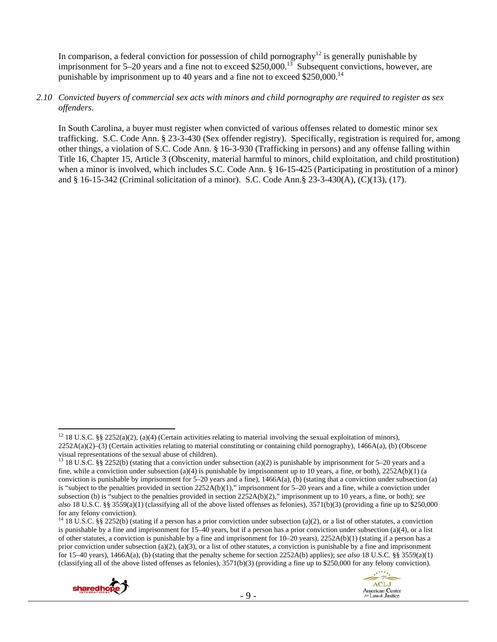In comparison, a federal conviction for possession of child pornography<sup>12</sup> is generally punishable by imprisonment for 5–20 years and a fine not to exceed \$250,000.<sup>13</sup> Subsequent convictions, however, are punishable by imprisonment up to 40 years and a fine not to exceed  $$250,000$ <sup>14</sup>

#### *2.10 Convicted buyers of commercial sex acts with minors and child pornography are required to register as sex offenders*.

In South Carolina, a buyer must register when convicted of various offenses related to domestic minor sex trafficking. S.C. Code Ann. § 23-3-430 (Sex offender registry). Specifically, registration is required for, among other things, a violation of S.C. Code Ann. § 16-3-930 (Trafficking in persons) and any offense falling within Title 16, Chapter 15, Article 3 (Obscenity, material harmful to minors, child exploitation, and child prostitution) when a minor is involved, which includes S.C. Code Ann. § 16-15-425 (Participating in prostitution of a minor) and § 16-15-342 (Criminal solicitation of a minor). S.C. Code Ann.§ 23-3-430(A), (C)(13), (17).

<sup>&</sup>lt;sup>14</sup> 18 U.S.C. §§ 2252(b) (stating if a person has a prior conviction under subsection (a)(2), or a list of other statutes, a conviction is punishable by a fine and imprisonment for 15–40 years, but if a person has a prior conviction under subsection (a)(4), or a list of other statutes, a conviction is punishable by a fine and imprisonment for 10–20 years), 2252A(b)(1) (stating if a person has a prior conviction under subsection (a)(2), (a)(3), or a list of other statutes, a conviction is punishable by a fine and imprisonment for 15–40 years), 1466A(a), (b) (stating that the penalty scheme for section 2252A(b) applies); *see also* 18 U.S.C. §§ 3559(a)(1) (classifying all of the above listed offenses as felonies),  $3571(b)(3)$  (providing a fine up to \$250,000 for any felony conviction).





<sup>&</sup>lt;sup>12</sup> 18 U.S.C. §§ 2252(a)(2), (a)(4) (Certain activities relating to material involving the sexual exploitation of minors), 2252A(a)(2)–(3) (Certain activities relating to material constituting or containing child pornography), 1466A(a), (b) (Obscene visual representations of the sexual abuse of children).

<sup>&</sup>lt;sup>13</sup> 18 U.S.C. §§ 2252(b) (stating that a conviction under subsection (a)(2) is punishable by imprisonment for 5–20 years and a fine, while a conviction under subsection (a)(4) is punishable by imprisonment up to 10 years, a fine, or both),  $2252A(b)(1)$  (a conviction is punishable by imprisonment for  $5-20$  years and a fine),  $1466A(a)$ , (b) (stating that a conviction under subsection (a) is "subject to the penalties provided in section 2252A(b)(1)," imprisonment for  $5-20$  years and a fine, while a conviction under subsection (b) is "subject to the penalties provided in section 2252A(b)(2)," imprisonment up to 10 years, a fine, or both); *see also* 18 U.S.C. §§ 3559(a)(1) (classifying all of the above listed offenses as felonies), 3571(b)(3) (providing a fine up to \$250,000 for any felony conviction).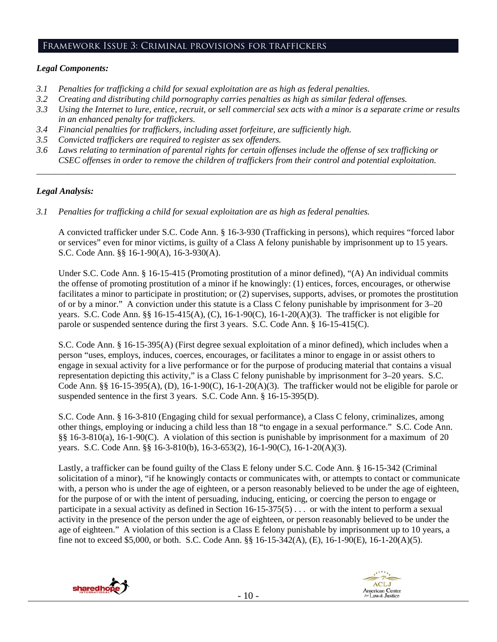#### Framework Issue 3: Criminal provisions for traffickers

## *Legal Components:*

- *3.1 Penalties for trafficking a child for sexual exploitation are as high as federal penalties.*
- *3.2 Creating and distributing child pornography carries penalties as high as similar federal offenses.*
- *3.3 Using the Internet to lure, entice, recruit, or sell commercial sex acts with a minor is a separate crime or results in an enhanced penalty for traffickers.*
- *3.4 Financial penalties for traffickers, including asset forfeiture, are sufficiently high.*
- *3.5 Convicted traffickers are required to register as sex offenders.*
- *3.6 Laws relating to termination of parental rights for certain offenses include the offense of sex trafficking or CSEC offenses in order to remove the children of traffickers from their control and potential exploitation.*

*\_\_\_\_\_\_\_\_\_\_\_\_\_\_\_\_\_\_\_\_\_\_\_\_\_\_\_\_\_\_\_\_\_\_\_\_\_\_\_\_\_\_\_\_\_\_\_\_\_\_\_\_\_\_\_\_\_\_\_\_\_\_\_\_\_\_\_\_\_\_\_\_\_\_\_\_\_\_\_\_\_\_\_\_\_\_\_\_\_\_\_\_\_\_* 

## *Legal Analysis:*

*3.1 Penalties for trafficking a child for sexual exploitation are as high as federal penalties.* 

A convicted trafficker under S.C. Code Ann. § 16-3-930 (Trafficking in persons), which requires "forced labor or services" even for minor victims, is guilty of a Class A felony punishable by imprisonment up to 15 years. S.C. Code Ann. §§ 16-1-90(A), 16-3-930(A).

Under S.C. Code Ann. § 16-15-415 (Promoting prostitution of a minor defined), "(A) An individual commits the offense of promoting prostitution of a minor if he knowingly: (1) entices, forces, encourages, or otherwise facilitates a minor to participate in prostitution; or (2) supervises, supports, advises, or promotes the prostitution of or by a minor." A conviction under this statute is a Class C felony punishable by imprisonment for 3–20 years. S.C. Code Ann. §§ 16-15-415(A), (C), 16-1-90(C), 16-1-20(A)(3). The trafficker is not eligible for parole or suspended sentence during the first 3 years. S.C. Code Ann. § 16-15-415(C).

S.C. Code Ann. § 16-15-395(A) (First degree sexual exploitation of a minor defined), which includes when a person "uses, employs, induces, coerces, encourages, or facilitates a minor to engage in or assist others to engage in sexual activity for a live performance or for the purpose of producing material that contains a visual representation depicting this activity," is a Class C felony punishable by imprisonment for 3–20 years. S.C. Code Ann. §§ 16-15-395(A), (D), 16-1-90(C), 16-1-20(A)(3). The trafficker would not be eligible for parole or suspended sentence in the first 3 years. S.C. Code Ann. § 16-15-395(D).

S.C. Code Ann. § 16-3-810 (Engaging child for sexual performance), a Class C felony, criminalizes, among other things, employing or inducing a child less than 18 "to engage in a sexual performance." S.C. Code Ann. §§ 16-3-810(a), 16-1-90(C). A violation of this section is punishable by imprisonment for a maximum of 20 years. S.C. Code Ann. §§ 16-3-810(b), 16-3-653(2), 16-1-90(C), 16-1-20(A)(3).

Lastly, a trafficker can be found guilty of the Class E felony under S.C. Code Ann. § 16-15-342 (Criminal solicitation of a minor), "if he knowingly contacts or communicates with, or attempts to contact or communicate with, a person who is under the age of eighteen, or a person reasonably believed to be under the age of eighteen, for the purpose of or with the intent of persuading, inducing, enticing, or coercing the person to engage or participate in a sexual activity as defined in Section 16-15-375(5) . . . or with the intent to perform a sexual activity in the presence of the person under the age of eighteen, or person reasonably believed to be under the age of eighteen." A violation of this section is a Class E felony punishable by imprisonment up to 10 years, a fine not to exceed \$5,000, or both. S.C. Code Ann. §§ 16-15-342(A), (E), 16-1-90(E), 16-1-20(A)(5).



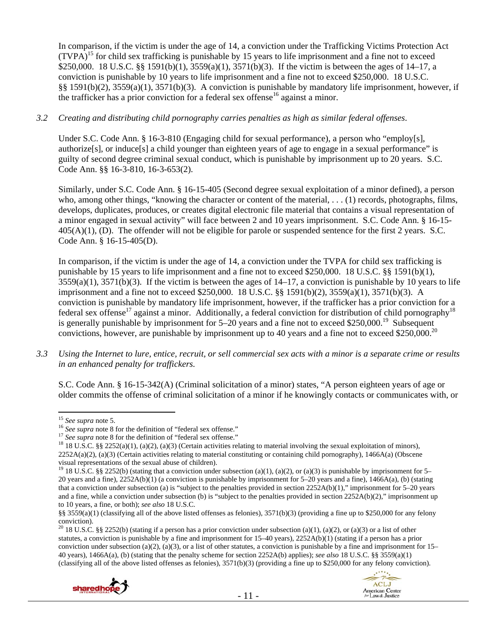In comparison, if the victim is under the age of 14, a conviction under the Trafficking Victims Protection Act  $(TVPA)^{15}$  for child sex trafficking is punishable by 15 years to life imprisonment and a fine not to exceed \$250,000. 18 U.S.C. §§ 1591(b)(1), 3559(a)(1), 3571(b)(3). If the victim is between the ages of 14–17, a conviction is punishable by 10 years to life imprisonment and a fine not to exceed \$250,000. 18 U.S.C. §§ 1591(b)(2), 3559(a)(1), 3571(b)(3). A conviction is punishable by mandatory life imprisonment, however, if the trafficker has a prior conviction for a federal sex offense<sup>16</sup> against a minor.

## *3.2 Creating and distributing child pornography carries penalties as high as similar federal offenses*.

Under S.C. Code Ann. § 16-3-810 (Engaging child for sexual performance), a person who "employ[s], authorize[s], or induce[s] a child younger than eighteen years of age to engage in a sexual performance" is guilty of second degree criminal sexual conduct, which is punishable by imprisonment up to 20 years. S.C. Code Ann. §§ 16-3-810, 16-3-653(2).

Similarly, under S.C. Code Ann. § 16-15-405 (Second degree sexual exploitation of a minor defined), a person who, among other things, "knowing the character or content of the material, ... (1) records, photographs, films, develops, duplicates, produces, or creates digital electronic file material that contains a visual representation of a minor engaged in sexual activity" will face between 2 and 10 years imprisonment. S.C. Code Ann. § 16-15- 405(A)(1), (D). The offender will not be eligible for parole or suspended sentence for the first 2 years. S.C. Code Ann. § 16-15-405(D).

In comparison, if the victim is under the age of 14, a conviction under the TVPA for child sex trafficking is punishable by 15 years to life imprisonment and a fine not to exceed \$250,000. 18 U.S.C. §§ 1591(b)(1),  $3559(a)(1)$ ,  $3571(b)(3)$ . If the victim is between the ages of  $14-17$ , a conviction is punishable by 10 years to life imprisonment and a fine not to exceed \$250,000. 18 U.S.C. §§ 1591(b)(2), 3559(a)(1), 3571(b)(3). A conviction is punishable by mandatory life imprisonment, however, if the trafficker has a prior conviction for a federal sex offense<sup>17</sup> against a minor. Additionally, a federal conviction for distribution of child pornography<sup>18</sup> is generally punishable by imprisonment for  $5-20$  years and a fine not to exceed \$250,000.<sup>19</sup> Subsequent convictions, however, are punishable by imprisonment up to 40 years and a fine not to exceed \$250,000.<sup>20</sup>

*3.3 Using the Internet to lure, entice, recruit, or sell commercial sex acts with a minor is a separate crime or results in an enhanced penalty for traffickers.* 

S.C. Code Ann. § 16-15-342(A) (Criminal solicitation of a minor) states, "A person eighteen years of age or older commits the offense of criminal solicitation of a minor if he knowingly contacts or communicates with, or

<sup>&</sup>lt;sup>20</sup> 18 U.S.C. §§ 2252(b) (stating if a person has a prior conviction under subsection (a)(1), (a)(2), or (a)(3) or a list of other statutes, a conviction is punishable by a fine and imprisonment for 15–40 years), 2252A(b)(1) (stating if a person has a prior conviction under subsection (a)(2), (a)(3), or a list of other statutes, a conviction is punishable by a fine and imprisonment for  $15-$ 40 years), 1466A(a), (b) (stating that the penalty scheme for section 2252A(b) applies); *see also* 18 U.S.C. §§ 3559(a)(1) (classifying all of the above listed offenses as felonies),  $3571(b)(3)$  (providing a fine up to \$250,000 for any felony conviction).





<sup>&</sup>lt;sup>15</sup> See supra note 5.<br><sup>16</sup> See supra note 8 for the definition of "federal sex offense."<br><sup>17</sup> See supra note 8 for the definition of "federal sex offense."<br><sup>17</sup> 18 U.S.C. §§ 2252(a)(1), (a)(2), (a)(3) (Certain activities  $2252A(a)(2)$ , (a)(3) (Certain activities relating to material constituting or containing child pornography), 1466A(a) (Obscene visual representations of the sexual abuse of children).

<sup>&</sup>lt;sup>19</sup> 18 U.S.C. §§ 2252(b) (stating that a conviction under subsection (a)(1), (a)(2), or (a)(3) is punishable by imprisonment for 5– 20 years and a fine),  $2252A(b)(1)$  (a conviction is punishable by imprisonment for 5–20 years and a fine),  $1466A(a)$ , (b) (stating that a conviction under subsection (a) is "subject to the penalties provided in section  $2252A(b)(1)$ ," imprisonment for 5–20 years and a fine, while a conviction under subsection (b) is "subject to the penalties provided in section  $2252A(b)(2)$ ," imprisonment up to 10 years, a fine, or both); *see also* 18 U.S.C.

<sup>§§ 3559(</sup>a)(1) (classifying all of the above listed offenses as felonies), 3571(b)(3) (providing a fine up to \$250,000 for any felony conviction).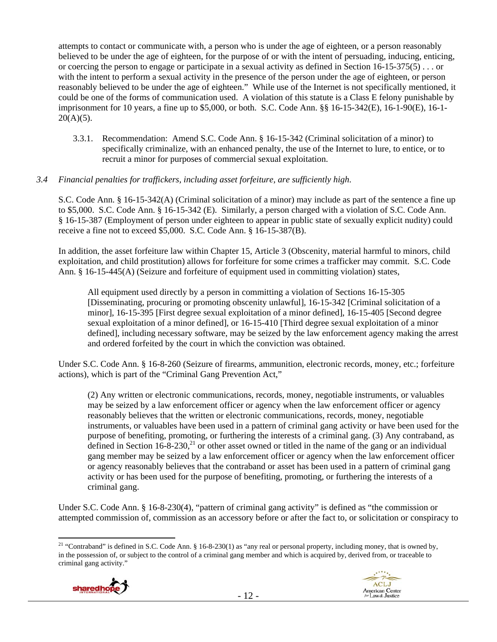attempts to contact or communicate with, a person who is under the age of eighteen, or a person reasonably believed to be under the age of eighteen, for the purpose of or with the intent of persuading, inducing, enticing, or coercing the person to engage or participate in a sexual activity as defined in Section 16-15-375(5) . . . or with the intent to perform a sexual activity in the presence of the person under the age of eighteen, or person reasonably believed to be under the age of eighteen." While use of the Internet is not specifically mentioned, it could be one of the forms of communication used. A violation of this statute is a Class E felony punishable by imprisonment for 10 years, a fine up to \$5,000, or both. S.C. Code Ann. §§ 16-15-342(E), 16-1-90(E), 16-1-  $20(A)(5)$ .

3.3.1. Recommendation: Amend S.C. Code Ann. § 16-15-342 (Criminal solicitation of a minor) to specifically criminalize, with an enhanced penalty, the use of the Internet to lure, to entice, or to recruit a minor for purposes of commercial sexual exploitation.

# *3.4 Financial penalties for traffickers, including asset forfeiture, are sufficiently high*.

S.C. Code Ann. § 16-15-342(A) (Criminal solicitation of a minor) may include as part of the sentence a fine up to \$5,000. S.C. Code Ann. § 16-15-342 (E). Similarly, a person charged with a violation of S.C. Code Ann. § 16-15-387 (Employment of person under eighteen to appear in public state of sexually explicit nudity) could receive a fine not to exceed \$5,000. S.C. Code Ann. § 16-15-387(B).

In addition, the asset forfeiture law within Chapter 15, Article 3 (Obscenity, material harmful to minors, child exploitation, and child prostitution) allows for forfeiture for some crimes a trafficker may commit. S.C. Code Ann. § 16-15-445(A) (Seizure and forfeiture of equipment used in committing violation) states,

All equipment used directly by a person in committing a violation of Sections 16-15-305 [Disseminating, procuring or promoting obscenity unlawful], 16-15-342 [Criminal solicitation of a minor], 16-15-395 [First degree sexual exploitation of a minor defined], 16-15-405 [Second degree sexual exploitation of a minor defined], or 16-15-410 [Third degree sexual exploitation of a minor defined], including necessary software, may be seized by the law enforcement agency making the arrest and ordered forfeited by the court in which the conviction was obtained.

Under S.C. Code Ann. § 16-8-260 (Seizure of firearms, ammunition, electronic records, money, etc.; forfeiture actions), which is part of the "Criminal Gang Prevention Act,"

(2) Any written or electronic communications, records, money, negotiable instruments, or valuables may be seized by a law enforcement officer or agency when the law enforcement officer or agency reasonably believes that the written or electronic communications, records, money, negotiable instruments, or valuables have been used in a pattern of criminal gang activity or have been used for the purpose of benefiting, promoting, or furthering the interests of a criminal gang. (3) Any contraband, as defined in Section 16-8-230,<sup>21</sup> or other asset owned or titled in the name of the gang or an individual gang member may be seized by a law enforcement officer or agency when the law enforcement officer or agency reasonably believes that the contraband or asset has been used in a pattern of criminal gang activity or has been used for the purpose of benefiting, promoting, or furthering the interests of a criminal gang.

Under S.C. Code Ann. § 16-8-230(4), "pattern of criminal gang activity" is defined as "the commission or attempted commission of, commission as an accessory before or after the fact to, or solicitation or conspiracy to

<sup>&</sup>lt;sup>21</sup> "Contraband" is defined in S.C. Code Ann. § 16-8-230(1) as "any real or personal property, including money, that is owned by, in the possession of, or subject to the control of a criminal gang member and which is acquired by, derived from, or traceable to criminal gang activity."



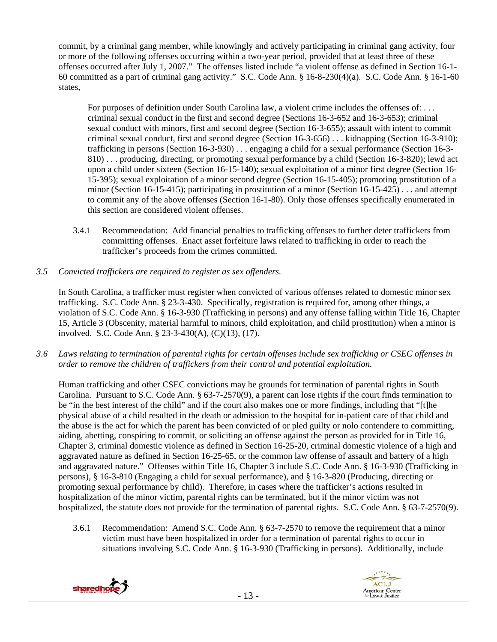commit, by a criminal gang member, while knowingly and actively participating in criminal gang activity, four or more of the following offenses occurring within a two-year period, provided that at least three of these offenses occurred after July 1, 2007." The offenses listed include "a violent offense as defined in Section 16-1- 60 committed as a part of criminal gang activity." S.C. Code Ann. § 16-8-230(4)(a). S.C. Code Ann. § 16-1-60 states,

For purposes of definition under South Carolina law, a violent crime includes the offenses of: . . . criminal sexual conduct in the first and second degree (Sections 16-3-652 and 16-3-653); criminal sexual conduct with minors, first and second degree (Section 16-3-655); assault with intent to commit criminal sexual conduct, first and second degree (Section 16-3-656) . . . kidnapping (Section 16-3-910); trafficking in persons (Section 16-3-930) . . . engaging a child for a sexual performance (Section 16-3- 810) . . . producing, directing, or promoting sexual performance by a child (Section 16-3-820); lewd act upon a child under sixteen (Section 16-15-140); sexual exploitation of a minor first degree (Section 16- 15-395); sexual exploitation of a minor second degree (Section 16-15-405); promoting prostitution of a minor (Section 16-15-415); participating in prostitution of a minor (Section 16-15-425) . . . and attempt to commit any of the above offenses (Section 16-1-80). Only those offenses specifically enumerated in this section are considered violent offenses.

- 3.4.1 Recommendation: Add financial penalties to trafficking offenses to further deter traffickers from committing offenses. Enact asset forfeiture laws related to trafficking in order to reach the trafficker's proceeds from the crimes committed.
- *3.5 Convicted traffickers are required to register as sex offenders.*

In South Carolina, a trafficker must register when convicted of various offenses related to domestic minor sex trafficking. S.C. Code Ann. § 23-3-430. Specifically, registration is required for, among other things, a violation of S.C. Code Ann. § 16-3-930 (Trafficking in persons) and any offense falling within Title 16, Chapter 15, Article 3 (Obscenity, material harmful to minors, child exploitation, and child prostitution) when a minor is involved. S.C. Code Ann. § 23-3-430(A), (C)(13), (17).

*3.6 Laws relating to termination of parental rights for certain offenses include sex trafficking or CSEC offenses in order to remove the children of traffickers from their control and potential exploitation.*

Human trafficking and other CSEC convictions may be grounds for termination of parental rights in South Carolina. Pursuant to S.C. Code Ann. § 63-7-2570(9), a parent can lose rights if the court finds termination to be "in the best interest of the child" and if the court also makes one or more findings, including that "[t]he physical abuse of a child resulted in the death or admission to the hospital for in-patient care of that child and the abuse is the act for which the parent has been convicted of or pled guilty or nolo contendere to committing, aiding, abetting, conspiring to commit, or soliciting an offense against the person as provided for in Title 16, Chapter 3, criminal domestic violence as defined in Section 16-25-20, criminal domestic violence of a high and aggravated nature as defined in Section 16-25-65, or the common law offense of assault and battery of a high and aggravated nature." Offenses within Title 16, Chapter 3 include S.C. Code Ann. § 16-3-930 (Trafficking in persons), § 16-3-810 (Engaging a child for sexual performance), and § 16-3-820 (Producing, directing or promoting sexual performance by child). Therefore, in cases where the trafficker's actions resulted in hospitalization of the minor victim, parental rights can be terminated, but if the minor victim was not hospitalized, the statute does not provide for the termination of parental rights. S.C. Code Ann. § 63-7-2570(9).

3.6.1 Recommendation: Amend S.C. Code Ann. § 63-7-2570 to remove the requirement that a minor victim must have been hospitalized in order for a termination of parental rights to occur in situations involving S.C. Code Ann. § 16-3-930 (Trafficking in persons). Additionally, include



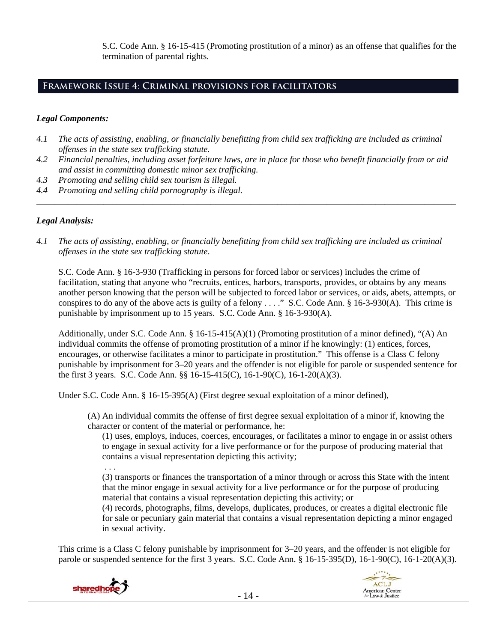S.C. Code Ann. § 16-15-415 (Promoting prostitution of a minor) as an offense that qualifies for the termination of parental rights.

## **Framework Issue 4: Criminal provisions for facilitators**

## *Legal Components:*

- *4.1 The acts of assisting, enabling, or financially benefitting from child sex trafficking are included as criminal offenses in the state sex trafficking statute.*
- *4.2 Financial penalties, including asset forfeiture laws, are in place for those who benefit financially from or aid and assist in committing domestic minor sex trafficking.*

*\_\_\_\_\_\_\_\_\_\_\_\_\_\_\_\_\_\_\_\_\_\_\_\_\_\_\_\_\_\_\_\_\_\_\_\_\_\_\_\_\_\_\_\_\_\_\_\_\_\_\_\_\_\_\_\_\_\_\_\_\_\_\_\_\_\_\_\_\_\_\_\_\_\_\_\_\_\_\_\_\_\_\_\_\_\_\_\_\_\_\_\_\_\_* 

- *4.3 Promoting and selling child sex tourism is illegal.*
- *4.4 Promoting and selling child pornography is illegal.*

## *Legal Analysis:*

*4.1 The acts of assisting, enabling, or financially benefitting from child sex trafficking are included as criminal offenses in the state sex trafficking statute*.

S.C. Code Ann. § 16-3-930 (Trafficking in persons for forced labor or services) includes the crime of facilitation, stating that anyone who "recruits, entices, harbors, transports, provides, or obtains by any means another person knowing that the person will be subjected to forced labor or services, or aids, abets, attempts, or conspires to do any of the above acts is guilty of a felony . . . ." S.C. Code Ann. § 16-3-930(A). This crime is punishable by imprisonment up to 15 years. S.C. Code Ann. § 16-3-930(A).

Additionally, under S.C. Code Ann. § 16-15-415(A)(1) (Promoting prostitution of a minor defined), "(A) An individual commits the offense of promoting prostitution of a minor if he knowingly: (1) entices, forces, encourages, or otherwise facilitates a minor to participate in prostitution." This offense is a Class C felony punishable by imprisonment for 3–20 years and the offender is not eligible for parole or suspended sentence for the first 3 years. S.C. Code Ann. §§ 16-15-415(C), 16-1-90(C), 16-1-20(A)(3).

Under S.C. Code Ann. § 16-15-395(A) (First degree sexual exploitation of a minor defined),

(A) An individual commits the offense of first degree sexual exploitation of a minor if, knowing the character or content of the material or performance, he:

(1) uses, employs, induces, coerces, encourages, or facilitates a minor to engage in or assist others to engage in sexual activity for a live performance or for the purpose of producing material that contains a visual representation depicting this activity;

. . .

(3) transports or finances the transportation of a minor through or across this State with the intent that the minor engage in sexual activity for a live performance or for the purpose of producing material that contains a visual representation depicting this activity; or

(4) records, photographs, films, develops, duplicates, produces, or creates a digital electronic file for sale or pecuniary gain material that contains a visual representation depicting a minor engaged in sexual activity.

This crime is a Class C felony punishable by imprisonment for 3–20 years, and the offender is not eligible for parole or suspended sentence for the first 3 years. S.C. Code Ann. § 16-15-395(D), 16-1-90(C), 16-1-20(A)(3).

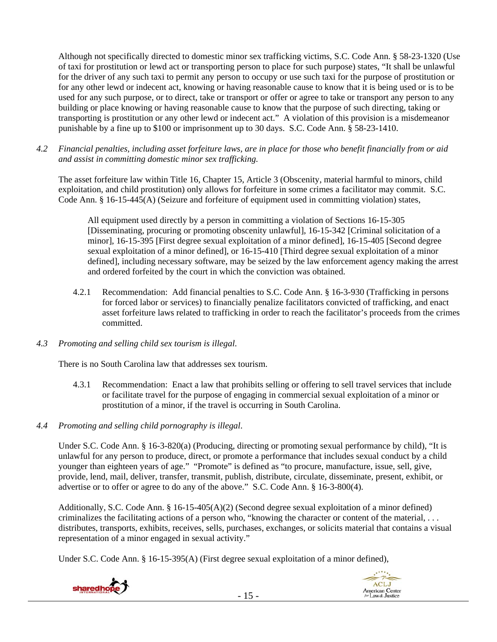Although not specifically directed to domestic minor sex trafficking victims, S.C. Code Ann. § 58-23-1320 (Use of taxi for prostitution or lewd act or transporting person to place for such purpose) states, "It shall be unlawful for the driver of any such taxi to permit any person to occupy or use such taxi for the purpose of prostitution or for any other lewd or indecent act, knowing or having reasonable cause to know that it is being used or is to be used for any such purpose, or to direct, take or transport or offer or agree to take or transport any person to any building or place knowing or having reasonable cause to know that the purpose of such directing, taking or transporting is prostitution or any other lewd or indecent act." A violation of this provision is a misdemeanor punishable by a fine up to \$100 or imprisonment up to 30 days. S.C. Code Ann. § 58-23-1410.

*4.2 Financial penalties, including asset forfeiture laws, are in place for those who benefit financially from or aid and assist in committing domestic minor sex trafficking.* 

The asset forfeiture law within Title 16, Chapter 15, Article 3 (Obscenity, material harmful to minors, child exploitation, and child prostitution) only allows for forfeiture in some crimes a facilitator may commit. S.C. Code Ann. § 16-15-445(A) (Seizure and forfeiture of equipment used in committing violation) states,

All equipment used directly by a person in committing a violation of Sections 16-15-305 [Disseminating, procuring or promoting obscenity unlawful], 16-15-342 [Criminal solicitation of a minor], 16-15-395 [First degree sexual exploitation of a minor defined], 16-15-405 [Second degree sexual exploitation of a minor defined], or 16-15-410 [Third degree sexual exploitation of a minor defined], including necessary software, may be seized by the law enforcement agency making the arrest and ordered forfeited by the court in which the conviction was obtained.

- 4.2.1 Recommendation: Add financial penalties to S.C. Code Ann. § 16-3-930 (Trafficking in persons for forced labor or services) to financially penalize facilitators convicted of trafficking, and enact asset forfeiture laws related to trafficking in order to reach the facilitator's proceeds from the crimes committed.
- *4.3 Promoting and selling child sex tourism is illegal*.

There is no South Carolina law that addresses sex tourism.

- 4.3.1 Recommendation: Enact a law that prohibits selling or offering to sell travel services that include or facilitate travel for the purpose of engaging in commercial sexual exploitation of a minor or prostitution of a minor, if the travel is occurring in South Carolina.
- *4.4 Promoting and selling child pornography is illegal*.

Under S.C. Code Ann. § 16-3-820(a) (Producing, directing or promoting sexual performance by child), "It is unlawful for any person to produce, direct, or promote a performance that includes sexual conduct by a child younger than eighteen years of age." "Promote" is defined as "to procure, manufacture, issue, sell, give, provide, lend, mail, deliver, transfer, transmit, publish, distribute, circulate, disseminate, present, exhibit, or advertise or to offer or agree to do any of the above." S.C. Code Ann. § 16-3-800(4).

Additionally, S.C. Code Ann. § 16-15-405(A)(2) (Second degree sexual exploitation of a minor defined) criminalizes the facilitating actions of a person who, "knowing the character or content of the material, . . . distributes, transports, exhibits, receives, sells, purchases, exchanges, or solicits material that contains a visual representation of a minor engaged in sexual activity."

Under S.C. Code Ann. § 16-15-395(A) (First degree sexual exploitation of a minor defined),

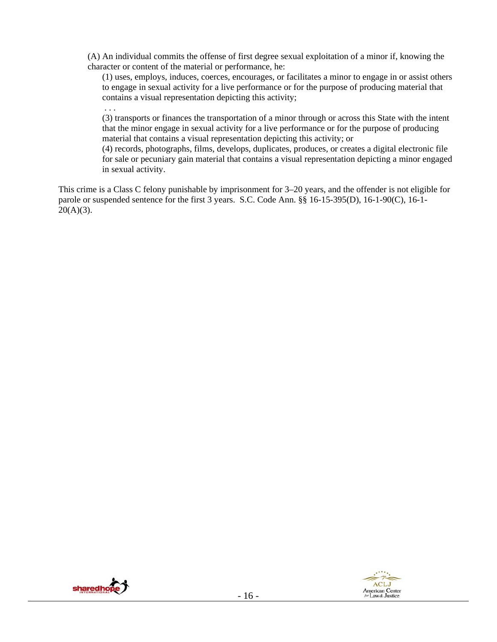(A) An individual commits the offense of first degree sexual exploitation of a minor if, knowing the character or content of the material or performance, he:

(1) uses, employs, induces, coerces, encourages, or facilitates a minor to engage in or assist others to engage in sexual activity for a live performance or for the purpose of producing material that contains a visual representation depicting this activity;

 . . . (3) transports or finances the transportation of a minor through or across this State with the intent that the minor engage in sexual activity for a live performance or for the purpose of producing material that contains a visual representation depicting this activity; or

(4) records, photographs, films, develops, duplicates, produces, or creates a digital electronic file for sale or pecuniary gain material that contains a visual representation depicting a minor engaged in sexual activity.

This crime is a Class C felony punishable by imprisonment for 3–20 years, and the offender is not eligible for parole or suspended sentence for the first 3 years. S.C. Code Ann. §§ 16-15-395(D), 16-1-90(C), 16-1-  $20(A)(3)$ .



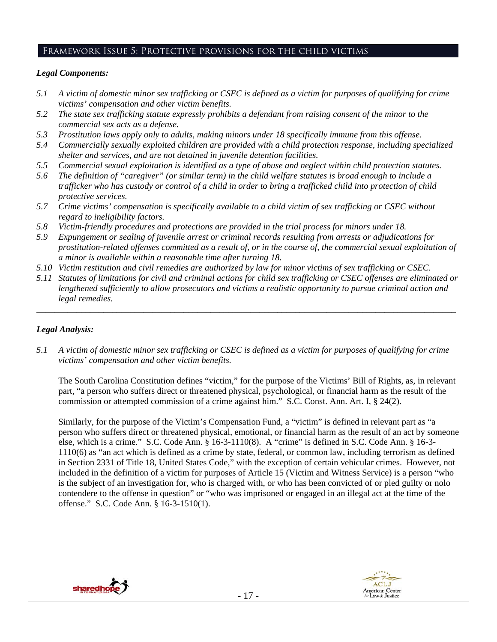# Framework Issue 5: Protective provisions for the child victims

## *Legal Components:*

- *5.1 A victim of domestic minor sex trafficking or CSEC is defined as a victim for purposes of qualifying for crime victims' compensation and other victim benefits.*
- *5.2 The state sex trafficking statute expressly prohibits a defendant from raising consent of the minor to the commercial sex acts as a defense.*
- *5.3 Prostitution laws apply only to adults, making minors under 18 specifically immune from this offense.*
- *5.4 Commercially sexually exploited children are provided with a child protection response, including specialized shelter and services, and are not detained in juvenile detention facilities.*
- *5.5 Commercial sexual exploitation is identified as a type of abuse and neglect within child protection statutes.*
- *5.6 The definition of "caregiver" (or similar term) in the child welfare statutes is broad enough to include a trafficker who has custody or control of a child in order to bring a trafficked child into protection of child protective services.*
- *5.7 Crime victims' compensation is specifically available to a child victim of sex trafficking or CSEC without regard to ineligibility factors.*
- *5.8 Victim-friendly procedures and protections are provided in the trial process for minors under 18.*
- *5.9 Expungement or sealing of juvenile arrest or criminal records resulting from arrests or adjudications for prostitution-related offenses committed as a result of, or in the course of, the commercial sexual exploitation of a minor is available within a reasonable time after turning 18.*
- *5.10 Victim restitution and civil remedies are authorized by law for minor victims of sex trafficking or CSEC.*
- *5.11 Statutes of limitations for civil and criminal actions for child sex trafficking or CSEC offenses are eliminated or lengthened sufficiently to allow prosecutors and victims a realistic opportunity to pursue criminal action and legal remedies.*

*\_\_\_\_\_\_\_\_\_\_\_\_\_\_\_\_\_\_\_\_\_\_\_\_\_\_\_\_\_\_\_\_\_\_\_\_\_\_\_\_\_\_\_\_\_\_\_\_\_\_\_\_\_\_\_\_\_\_\_\_\_\_\_\_\_\_\_\_\_\_\_\_\_\_\_\_\_\_\_\_\_\_\_\_\_\_\_\_\_\_\_\_\_\_* 

# *Legal Analysis:*

*5.1 A victim of domestic minor sex trafficking or CSEC is defined as a victim for purposes of qualifying for crime victims' compensation and other victim benefits.* 

The South Carolina Constitution defines "victim," for the purpose of the Victims' Bill of Rights, as, in relevant part, "a person who suffers direct or threatened physical, psychological, or financial harm as the result of the commission or attempted commission of a crime against him." S.C. Const. Ann. Art. I, § 24(2).

Similarly, for the purpose of the Victim's Compensation Fund, a "victim" is defined in relevant part as "a person who suffers direct or threatened physical, emotional, or financial harm as the result of an act by someone else, which is a crime." S.C. Code Ann. § 16-3-1110(8). A "crime" is defined in S.C. Code Ann. § 16-3- 1110(6) as "an act which is defined as a crime by state, federal, or common law, including terrorism as defined in Section 2331 of Title 18, United States Code," with the exception of certain vehicular crimes. However, not included in the definition of a victim for purposes of Article 15 (Victim and Witness Service) is a person "who is the subject of an investigation for, who is charged with, or who has been convicted of or pled guilty or nolo contendere to the offense in question" or "who was imprisoned or engaged in an illegal act at the time of the offense." S.C. Code Ann. § 16-3-1510(1).



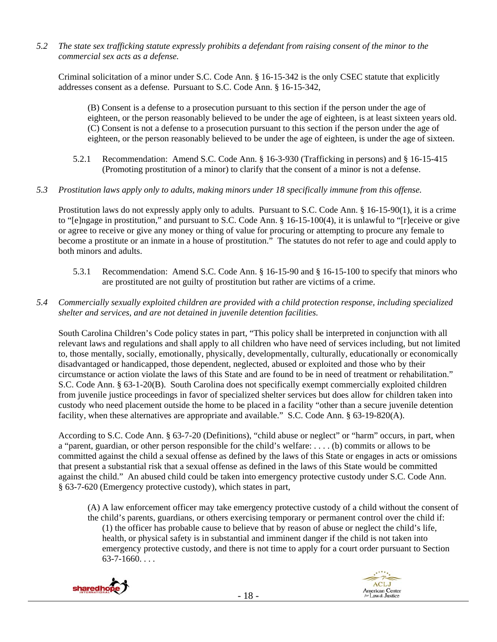*5.2 The state sex trafficking statute expressly prohibits a defendant from raising consent of the minor to the commercial sex acts as a defense.* 

Criminal solicitation of a minor under S.C. Code Ann. § 16-15-342 is the only CSEC statute that explicitly addresses consent as a defense. Pursuant to S.C. Code Ann. § 16-15-342,

(B) Consent is a defense to a prosecution pursuant to this section if the person under the age of eighteen, or the person reasonably believed to be under the age of eighteen, is at least sixteen years old. (C) Consent is not a defense to a prosecution pursuant to this section if the person under the age of eighteen, or the person reasonably believed to be under the age of eighteen, is under the age of sixteen.

- 5.2.1 Recommendation: Amend S.C. Code Ann. § 16-3-930 (Trafficking in persons) and § 16-15-415 (Promoting prostitution of a minor) to clarify that the consent of a minor is not a defense.
- *5.3 Prostitution laws apply only to adults, making minors under 18 specifically immune from this offense.*

Prostitution laws do not expressly apply only to adults. Pursuant to S.C. Code Ann. § 16-15-90(1), it is a crime to "[e]ngage in prostitution," and pursuant to S.C. Code Ann. § 16-15-100(4), it is unlawful to "[r]eceive or give or agree to receive or give any money or thing of value for procuring or attempting to procure any female to become a prostitute or an inmate in a house of prostitution." The statutes do not refer to age and could apply to both minors and adults.

- 5.3.1 Recommendation: Amend S.C. Code Ann. § 16-15-90 and § 16-15-100 to specify that minors who are prostituted are not guilty of prostitution but rather are victims of a crime.
- *5.4 Commercially sexually exploited children are provided with a child protection response, including specialized shelter and services, and are not detained in juvenile detention facilities.*

South Carolina Children's Code policy states in part, "This policy shall be interpreted in conjunction with all relevant laws and regulations and shall apply to all children who have need of services including, but not limited to, those mentally, socially, emotionally, physically, developmentally, culturally, educationally or economically disadvantaged or handicapped, those dependent, neglected, abused or exploited and those who by their circumstance or action violate the laws of this State and are found to be in need of treatment or rehabilitation." S.C. Code Ann. § 63-1-20(B). South Carolina does not specifically exempt commercially exploited children from juvenile justice proceedings in favor of specialized shelter services but does allow for children taken into custody who need placement outside the home to be placed in a facility "other than a secure juvenile detention facility, when these alternatives are appropriate and available." S.C. Code Ann. § 63-19-820(A).

According to S.C. Code Ann. § 63-7-20 (Definitions), "child abuse or neglect" or "harm" occurs, in part, when a "parent, guardian, or other person responsible for the child's welfare: . . . . (b) commits or allows to be committed against the child a sexual offense as defined by the laws of this State or engages in acts or omissions that present a substantial risk that a sexual offense as defined in the laws of this State would be committed against the child." An abused child could be taken into emergency protective custody under S.C. Code Ann. § 63-7-620 (Emergency protective custody), which states in part,

(A) A law enforcement officer may take emergency protective custody of a child without the consent of the child's parents, guardians, or others exercising temporary or permanent control over the child if: (1) the officer has probable cause to believe that by reason of abuse or neglect the child's life, health, or physical safety is in substantial and imminent danger if the child is not taken into emergency protective custody, and there is not time to apply for a court order pursuant to Section  $63 - 7 - 1660...$ 



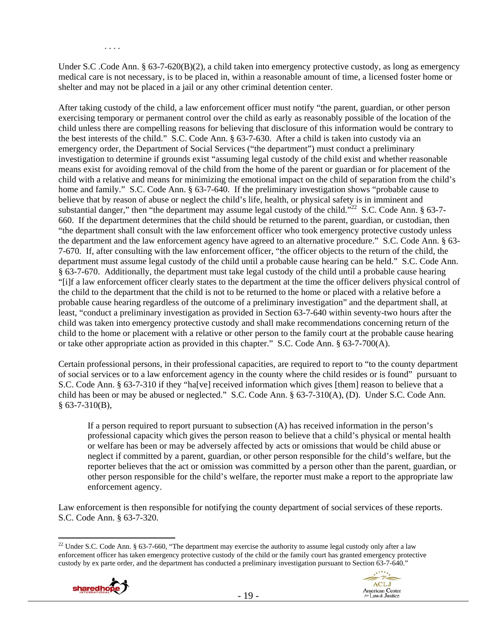Under S.C .Code Ann. § 63-7-620(B)(2), a child taken into emergency protective custody, as long as emergency medical care is not necessary, is to be placed in, within a reasonable amount of time, a licensed foster home or shelter and may not be placed in a jail or any other criminal detention center.

After taking custody of the child, a law enforcement officer must notify "the parent, guardian, or other person exercising temporary or permanent control over the child as early as reasonably possible of the location of the child unless there are compelling reasons for believing that disclosure of this information would be contrary to the best interests of the child." S.C. Code Ann. § 63-7-630. After a child is taken into custody via an emergency order, the Department of Social Services ("the department") must conduct a preliminary investigation to determine if grounds exist "assuming legal custody of the child exist and whether reasonable means exist for avoiding removal of the child from the home of the parent or guardian or for placement of the child with a relative and means for minimizing the emotional impact on the child of separation from the child's home and family." S.C. Code Ann. § 63-7-640. If the preliminary investigation shows "probable cause to believe that by reason of abuse or neglect the child's life, health, or physical safety is in imminent and substantial danger," then "the department may assume legal custody of the child."<sup>22</sup> S.C. Code Ann. § 63-7-660. If the department determines that the child should be returned to the parent, guardian, or custodian, then "the department shall consult with the law enforcement officer who took emergency protective custody unless the department and the law enforcement agency have agreed to an alternative procedure." S.C. Code Ann. § 63- 7-670. If, after consulting with the law enforcement officer, "the officer objects to the return of the child, the department must assume legal custody of the child until a probable cause hearing can be held." S.C. Code Ann. § 63-7-670. Additionally, the department must take legal custody of the child until a probable cause hearing "[i]f a law enforcement officer clearly states to the department at the time the officer delivers physical control of the child to the department that the child is not to be returned to the home or placed with a relative before a probable cause hearing regardless of the outcome of a preliminary investigation" and the department shall, at least, "conduct a preliminary investigation as provided in Section 63-7-640 within seventy-two hours after the child was taken into emergency protective custody and shall make recommendations concerning return of the child to the home or placement with a relative or other person to the family court at the probable cause hearing or take other appropriate action as provided in this chapter." S.C. Code Ann. § 63-7-700(A).

Certain professional persons, in their professional capacities, are required to report to "to the county department of social services or to a law enforcement agency in the county where the child resides or is found" pursuant to S.C. Code Ann. § 63-7-310 if they "ha[ve] received information which gives [them] reason to believe that a child has been or may be abused or neglected." S.C. Code Ann. § 63-7-310(A), (D). Under S.C. Code Ann. § 63-7-310(B),

If a person required to report pursuant to subsection (A) has received information in the person's professional capacity which gives the person reason to believe that a child's physical or mental health or welfare has been or may be adversely affected by acts or omissions that would be child abuse or neglect if committed by a parent, guardian, or other person responsible for the child's welfare, but the reporter believes that the act or omission was committed by a person other than the parent, guardian, or other person responsible for the child's welfare, the reporter must make a report to the appropriate law enforcement agency.

Law enforcement is then responsible for notifying the county department of social services of these reports. S.C. Code Ann. § 63-7-320.

<sup>&</sup>lt;sup>22</sup> Under S.C. Code Ann. § 63-7-660, "The department may exercise the authority to assume legal custody only after a law enforcement officer has taken emergency protective custody of the child or the family court has granted emergency protective custody by ex parte order, and the department has conducted a preliminary investigation pursuant to Section 63-7-640."



. . . .

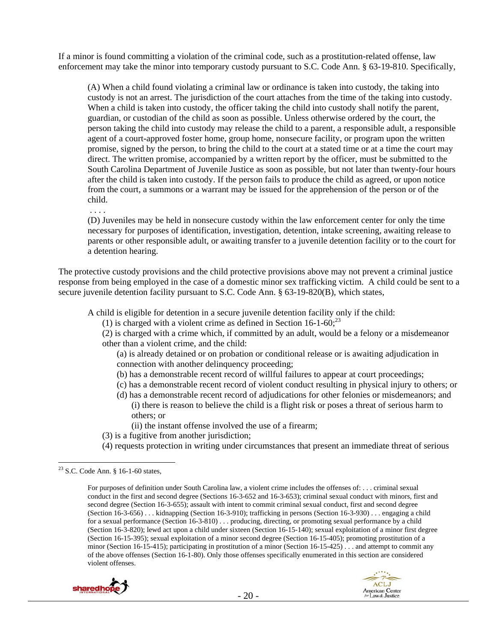If a minor is found committing a violation of the criminal code, such as a prostitution-related offense, law enforcement may take the minor into temporary custody pursuant to S.C. Code Ann. § 63-19-810. Specifically,

(A) When a child found violating a criminal law or ordinance is taken into custody, the taking into custody is not an arrest. The jurisdiction of the court attaches from the time of the taking into custody. When a child is taken into custody, the officer taking the child into custody shall notify the parent, guardian, or custodian of the child as soon as possible. Unless otherwise ordered by the court, the person taking the child into custody may release the child to a parent, a responsible adult, a responsible agent of a court-approved foster home, group home, nonsecure facility, or program upon the written promise, signed by the person, to bring the child to the court at a stated time or at a time the court may direct. The written promise, accompanied by a written report by the officer, must be submitted to the South Carolina Department of Juvenile Justice as soon as possible, but not later than twenty-four hours after the child is taken into custody. If the person fails to produce the child as agreed, or upon notice from the court, a summons or a warrant may be issued for the apprehension of the person or of the child.

(D) Juveniles may be held in nonsecure custody within the law enforcement center for only the time necessary for purposes of identification, investigation, detention, intake screening, awaiting release to parents or other responsible adult, or awaiting transfer to a juvenile detention facility or to the court for a detention hearing.

The protective custody provisions and the child protective provisions above may not prevent a criminal justice response from being employed in the case of a domestic minor sex trafficking victim. A child could be sent to a secure juvenile detention facility pursuant to S.C. Code Ann. § 63-19-820(B), which states,

A child is eligible for detention in a secure juvenile detention facility only if the child:

(1) is charged with a violent crime as defined in Section  $16$ -1-60;<sup>23</sup>

(2) is charged with a crime which, if committed by an adult, would be a felony or a misdemeanor other than a violent crime, and the child:

(a) is already detained or on probation or conditional release or is awaiting adjudication in connection with another delinquency proceeding;

- (b) has a demonstrable recent record of willful failures to appear at court proceedings;
- (c) has a demonstrable recent record of violent conduct resulting in physical injury to others; or
- (d) has a demonstrable recent record of adjudications for other felonies or misdemeanors; and (i) there is reason to believe the child is a flight risk or poses a threat of serious harm to others; or
	- (ii) the instant offense involved the use of a firearm;
- (3) is a fugitive from another jurisdiction;
- (4) requests protection in writing under circumstances that present an immediate threat of serious

. . . .

For purposes of definition under South Carolina law, a violent crime includes the offenses of: . . . criminal sexual conduct in the first and second degree (Sections 16-3-652 and 16-3-653); criminal sexual conduct with minors, first and second degree (Section 16-3-655); assault with intent to commit criminal sexual conduct, first and second degree (Section 16-3-656) . . . kidnapping (Section 16-3-910); trafficking in persons (Section 16-3-930) . . . engaging a child for a sexual performance (Section 16-3-810) . . . producing, directing, or promoting sexual performance by a child (Section 16-3-820); lewd act upon a child under sixteen (Section 16-15-140); sexual exploitation of a minor first degree (Section 16-15-395); sexual exploitation of a minor second degree (Section 16-15-405); promoting prostitution of a minor (Section 16-15-415); participating in prostitution of a minor (Section 16-15-425) . . . and attempt to commit any of the above offenses (Section 16-1-80). Only those offenses specifically enumerated in this section are considered violent offenses.





<sup>23</sup> S.C. Code Ann. § 16-1-60 states,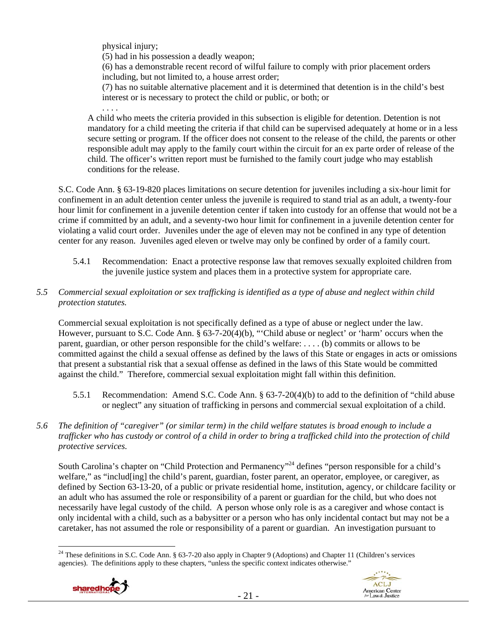physical injury;

. . . .

(5) had in his possession a deadly weapon;

(6) has a demonstrable recent record of wilful failure to comply with prior placement orders including, but not limited to, a house arrest order;

(7) has no suitable alternative placement and it is determined that detention is in the child's best interest or is necessary to protect the child or public, or both; or

A child who meets the criteria provided in this subsection is eligible for detention. Detention is not mandatory for a child meeting the criteria if that child can be supervised adequately at home or in a less secure setting or program. If the officer does not consent to the release of the child, the parents or other responsible adult may apply to the family court within the circuit for an ex parte order of release of the child. The officer's written report must be furnished to the family court judge who may establish conditions for the release.

S.C. Code Ann. § 63-19-820 places limitations on secure detention for juveniles including a six-hour limit for confinement in an adult detention center unless the juvenile is required to stand trial as an adult, a twenty-four hour limit for confinement in a juvenile detention center if taken into custody for an offense that would not be a crime if committed by an adult, and a seventy-two hour limit for confinement in a juvenile detention center for violating a valid court order. Juveniles under the age of eleven may not be confined in any type of detention center for any reason. Juveniles aged eleven or twelve may only be confined by order of a family court.

- 5.4.1 Recommendation: Enact a protective response law that removes sexually exploited children from the juvenile justice system and places them in a protective system for appropriate care.
- *5.5 Commercial sexual exploitation or sex trafficking is identified as a type of abuse and neglect within child protection statutes.*

Commercial sexual exploitation is not specifically defined as a type of abuse or neglect under the law. However, pursuant to S.C. Code Ann. § 63-7-20(4)(b), "'Child abuse or neglect' or 'harm' occurs when the parent, guardian, or other person responsible for the child's welfare: . . . . (b) commits or allows to be committed against the child a sexual offense as defined by the laws of this State or engages in acts or omissions that present a substantial risk that a sexual offense as defined in the laws of this State would be committed against the child." Therefore, commercial sexual exploitation might fall within this definition.

- 5.5.1 Recommendation: Amend S.C. Code Ann. § 63-7-20(4)(b) to add to the definition of "child abuse or neglect" any situation of trafficking in persons and commercial sexual exploitation of a child.
- *5.6 The definition of "caregiver" (or similar term) in the child welfare statutes is broad enough to include a trafficker who has custody or control of a child in order to bring a trafficked child into the protection of child protective services.*

South Carolina's chapter on "Child Protection and Permanency"<sup>24</sup> defines "person responsible for a child's welfare," as "includ[ing] the child's parent, guardian, foster parent, an operator, employee, or caregiver, as defined by Section 63-13-20, of a public or private residential home, institution, agency, or childcare facility or an adult who has assumed the role or responsibility of a parent or guardian for the child, but who does not necessarily have legal custody of the child. A person whose only role is as a caregiver and whose contact is only incidental with a child, such as a babysitter or a person who has only incidental contact but may not be a caretaker, has not assumed the role or responsibility of a parent or guardian. An investigation pursuant to

 <sup>24</sup> These definitions in S.C. Code Ann. § 63-7-20 also apply in Chapter 9 (Adoptions) and Chapter 11 (Children's services agencies). The definitions apply to these chapters, "unless the specific context indicates otherwise."

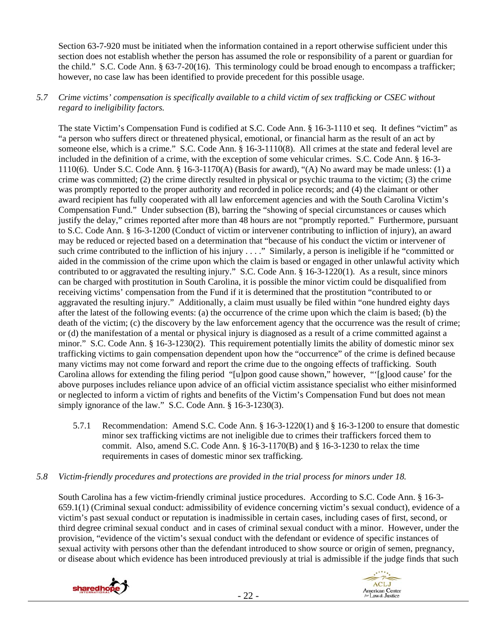Section 63-7-920 must be initiated when the information contained in a report otherwise sufficient under this section does not establish whether the person has assumed the role or responsibility of a parent or guardian for the child." S.C. Code Ann. § 63-7-20(16). This terminology could be broad enough to encompass a trafficker; however, no case law has been identified to provide precedent for this possible usage.

## *5.7 Crime victims' compensation is specifically available to a child victim of sex trafficking or CSEC without regard to ineligibility factors.*

The state Victim's Compensation Fund is codified at S.C. Code Ann. § 16-3-1110 et seq. It defines "victim" as "a person who suffers direct or threatened physical, emotional, or financial harm as the result of an act by someone else, which is a crime." S.C. Code Ann. § 16-3-1110(8). All crimes at the state and federal level are included in the definition of a crime, with the exception of some vehicular crimes. S.C. Code Ann. § 16-3- 1110(6). Under S.C. Code Ann. § 16-3-1170(A) (Basis for award), "(A) No award may be made unless: (1) a crime was committed; (2) the crime directly resulted in physical or psychic trauma to the victim; (3) the crime was promptly reported to the proper authority and recorded in police records; and (4) the claimant or other award recipient has fully cooperated with all law enforcement agencies and with the South Carolina Victim's Compensation Fund." Under subsection (B), barring the "showing of special circumstances or causes which justify the delay," crimes reported after more than 48 hours are not "promptly reported." Furthermore, pursuant to S.C. Code Ann. § 16-3-1200 (Conduct of victim or intervener contributing to infliction of injury), an award may be reduced or rejected based on a determination that "because of his conduct the victim or intervener of such crime contributed to the infliction of his injury . . . ." Similarly, a person is ineligible if he "committed or aided in the commission of the crime upon which the claim is based or engaged in other unlawful activity which contributed to or aggravated the resulting injury." S.C. Code Ann. § 16-3-1220(1). As a result, since minors can be charged with prostitution in South Carolina, it is possible the minor victim could be disqualified from receiving victims' compensation from the Fund if it is determined that the prostitution "contributed to or aggravated the resulting injury." Additionally, a claim must usually be filed within "one hundred eighty days after the latest of the following events: (a) the occurrence of the crime upon which the claim is based; (b) the death of the victim; (c) the discovery by the law enforcement agency that the occurrence was the result of crime; or (d) the manifestation of a mental or physical injury is diagnosed as a result of a crime committed against a minor." S.C. Code Ann. § 16-3-1230(2). This requirement potentially limits the ability of domestic minor sex trafficking victims to gain compensation dependent upon how the "occurrence" of the crime is defined because many victims may not come forward and report the crime due to the ongoing effects of trafficking. South Carolina allows for extending the filing period "[u]pon good cause shown," however, "'[g]ood cause' for the above purposes includes reliance upon advice of an official victim assistance specialist who either misinformed or neglected to inform a victim of rights and benefits of the Victim's Compensation Fund but does not mean simply ignorance of the law." S.C. Code Ann. § 16-3-1230(3).

- 5.7.1 Recommendation: Amend S.C. Code Ann. § 16-3-1220(1) and § 16-3-1200 to ensure that domestic minor sex trafficking victims are not ineligible due to crimes their traffickers forced them to commit. Also, amend S.C. Code Ann. § 16-3-1170(B) and § 16-3-1230 to relax the time requirements in cases of domestic minor sex trafficking.
- *5.8 Victim-friendly procedures and protections are provided in the trial process for minors under 18.*

South Carolina has a few victim-friendly criminal justice procedures. According to S.C. Code Ann. § 16-3- 659.1(1) (Criminal sexual conduct: admissibility of evidence concerning victim's sexual conduct), evidence of a victim's past sexual conduct or reputation is inadmissible in certain cases, including cases of first, second, or third degree criminal sexual conduct and in cases of criminal sexual conduct with a minor. However, under the provision, "evidence of the victim's sexual conduct with the defendant or evidence of specific instances of sexual activity with persons other than the defendant introduced to show source or origin of semen, pregnancy, or disease about which evidence has been introduced previously at trial is admissible if the judge finds that such

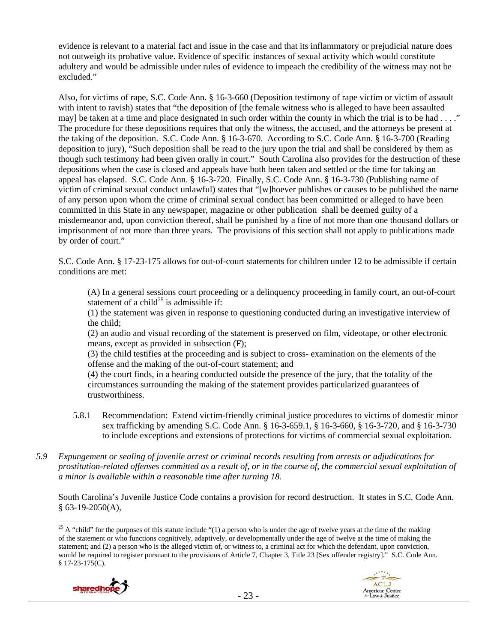evidence is relevant to a material fact and issue in the case and that its inflammatory or prejudicial nature does not outweigh its probative value. Evidence of specific instances of sexual activity which would constitute adultery and would be admissible under rules of evidence to impeach the credibility of the witness may not be excluded."

Also, for victims of rape, S.C. Code Ann. § 16-3-660 (Deposition testimony of rape victim or victim of assault with intent to ravish) states that "the deposition of [the female witness who is alleged to have been assaulted may] be taken at a time and place designated in such order within the county in which the trial is to be had  $\dots$ ." The procedure for these depositions requires that only the witness, the accused, and the attorneys be present at the taking of the deposition. S.C. Code Ann. § 16-3-670. According to S.C. Code Ann. § 16-3-700 (Reading deposition to jury), "Such deposition shall be read to the jury upon the trial and shall be considered by them as though such testimony had been given orally in court." South Carolina also provides for the destruction of these depositions when the case is closed and appeals have both been taken and settled or the time for taking an appeal has elapsed. S.C. Code Ann. § 16-3-720. Finally, S.C. Code Ann. § 16-3-730 (Publishing name of victim of criminal sexual conduct unlawful) states that "[w]hoever publishes or causes to be published the name of any person upon whom the crime of criminal sexual conduct has been committed or alleged to have been committed in this State in any newspaper, magazine or other publication shall be deemed guilty of a misdemeanor and, upon conviction thereof, shall be punished by a fine of not more than one thousand dollars or imprisonment of not more than three years. The provisions of this section shall not apply to publications made by order of court."

S.C. Code Ann. § 17-23-175 allows for out-of-court statements for children under 12 to be admissible if certain conditions are met:

(A) In a general sessions court proceeding or a delinquency proceeding in family court, an out-of-court statement of a child<sup>25</sup> is admissible if:

(1) the statement was given in response to questioning conducted during an investigative interview of the child;

(2) an audio and visual recording of the statement is preserved on film, videotape, or other electronic means, except as provided in subsection (F);

(3) the child testifies at the proceeding and is subject to cross- examination on the elements of the offense and the making of the out-of-court statement; and

(4) the court finds, in a hearing conducted outside the presence of the jury, that the totality of the circumstances surrounding the making of the statement provides particularized guarantees of trustworthiness.

- 5.8.1 Recommendation: Extend victim-friendly criminal justice procedures to victims of domestic minor sex trafficking by amending S.C. Code Ann. § 16-3-659.1, § 16-3-660, § 16-3-720, and § 16-3-730 to include exceptions and extensions of protections for victims of commercial sexual exploitation.
- *5.9 Expungement or sealing of juvenile arrest or criminal records resulting from arrests or adjudications for prostitution-related offenses committed as a result of, or in the course of, the commercial sexual exploitation of a minor is available within a reasonable time after turning 18.*

South Carolina's Juvenile Justice Code contains a provision for record destruction. It states in S.C. Code Ann.  $§$  63-19-2050(A),

 <sup>25</sup> A "child" for the purposes of this statute include "(1) a person who is under the age of twelve years at the time of the making of the statement or who functions cognitively, adaptively, or developmentally under the age of twelve at the time of making the statement; and (2) a person who is the alleged victim of, or witness to, a criminal act for which the defendant, upon conviction, would be required to register pursuant to the provisions of Article 7, Chapter 3, Title 23 [Sex offender registry]." S.C. Code Ann. § 17-23-175(C).



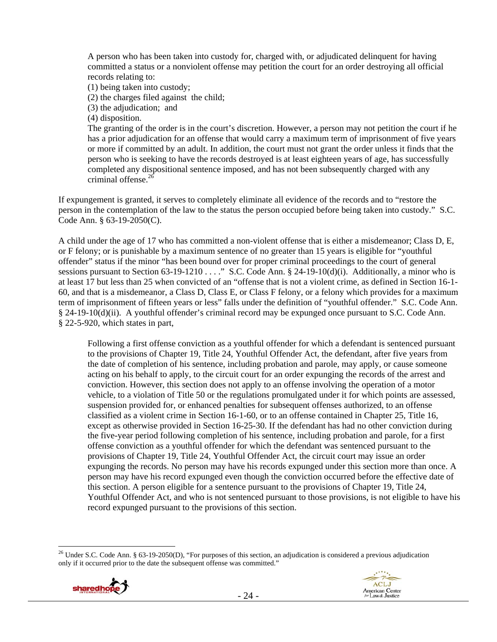A person who has been taken into custody for, charged with, or adjudicated delinquent for having committed a status or a nonviolent offense may petition the court for an order destroying all official records relating to:

(1) being taken into custody;

(2) the charges filed against the child;

(3) the adjudication; and

(4) disposition.

The granting of the order is in the court's discretion. However, a person may not petition the court if he has a prior adjudication for an offense that would carry a maximum term of imprisonment of five years or more if committed by an adult. In addition, the court must not grant the order unless it finds that the person who is seeking to have the records destroyed is at least eighteen years of age, has successfully completed any dispositional sentence imposed, and has not been subsequently charged with any criminal offense. $^{26}$ 

If expungement is granted, it serves to completely eliminate all evidence of the records and to "restore the person in the contemplation of the law to the status the person occupied before being taken into custody." S.C. Code Ann. § 63-19-2050(C).

A child under the age of 17 who has committed a non-violent offense that is either a misdemeanor; Class D, E, or F felony; or is punishable by a maximum sentence of no greater than 15 years is eligible for "youthful offender" status if the minor "has been bound over for proper criminal proceedings to the court of general sessions pursuant to Section 63-19-1210 . . . . " S.C. Code Ann. § 24-19-10(d)(i). Additionally, a minor who is at least 17 but less than 25 when convicted of an "offense that is not a violent crime, as defined in Section 16-1- 60, and that is a misdemeanor, a Class D, Class E, or Class F felony, or a felony which provides for a maximum term of imprisonment of fifteen years or less" falls under the definition of "youthful offender." S.C. Code Ann. § 24-19-10(d)(ii). A youthful offender's criminal record may be expunged once pursuant to S.C. Code Ann. § 22-5-920, which states in part,

Following a first offense conviction as a youthful offender for which a defendant is sentenced pursuant to the provisions of Chapter 19, Title 24, Youthful Offender Act, the defendant, after five years from the date of completion of his sentence, including probation and parole, may apply, or cause someone acting on his behalf to apply, to the circuit court for an order expunging the records of the arrest and conviction. However, this section does not apply to an offense involving the operation of a motor vehicle, to a violation of Title 50 or the regulations promulgated under it for which points are assessed, suspension provided for, or enhanced penalties for subsequent offenses authorized, to an offense classified as a violent crime in Section 16-1-60, or to an offense contained in Chapter 25, Title 16, except as otherwise provided in Section 16-25-30. If the defendant has had no other conviction during the five-year period following completion of his sentence, including probation and parole, for a first offense conviction as a youthful offender for which the defendant was sentenced pursuant to the provisions of Chapter 19, Title 24, Youthful Offender Act, the circuit court may issue an order expunging the records. No person may have his records expunged under this section more than once. A person may have his record expunged even though the conviction occurred before the effective date of this section. A person eligible for a sentence pursuant to the provisions of Chapter 19, Title 24, Youthful Offender Act, and who is not sentenced pursuant to those provisions, is not eligible to have his record expunged pursuant to the provisions of this section.

 <sup>26</sup> Under S.C. Code Ann. § 63-19-2050(D), "For purposes of this section, an adjudication is considered a previous adjudication only if it occurred prior to the date the subsequent offense was committed."



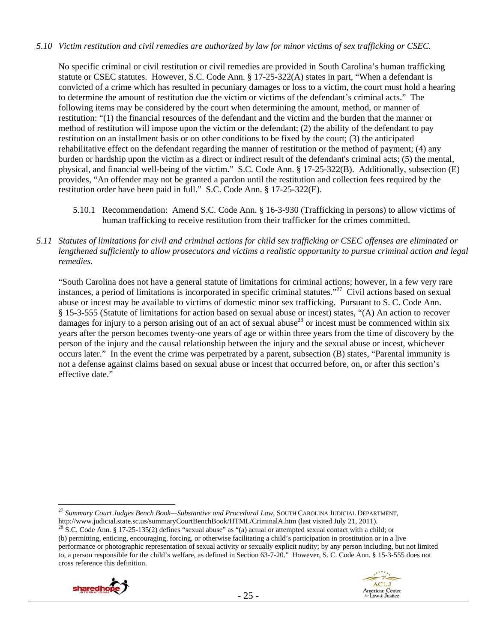## *5.10 Victim restitution and civil remedies are authorized by law for minor victims of sex trafficking or CSEC.*

No specific criminal or civil restitution or civil remedies are provided in South Carolina's human trafficking statute or CSEC statutes. However, S.C. Code Ann. § 17-25-322(A) states in part, "When a defendant is convicted of a crime which has resulted in pecuniary damages or loss to a victim, the court must hold a hearing to determine the amount of restitution due the victim or victims of the defendant's criminal acts." The following items may be considered by the court when determining the amount, method, or manner of restitution: "(1) the financial resources of the defendant and the victim and the burden that the manner or method of restitution will impose upon the victim or the defendant; (2) the ability of the defendant to pay restitution on an installment basis or on other conditions to be fixed by the court; (3) the anticipated rehabilitative effect on the defendant regarding the manner of restitution or the method of payment; (4) any burden or hardship upon the victim as a direct or indirect result of the defendant's criminal acts; (5) the mental, physical, and financial well-being of the victim." S.C. Code Ann. § 17-25-322(B). Additionally, subsection (E) provides, "An offender may not be granted a pardon until the restitution and collection fees required by the restitution order have been paid in full." S.C. Code Ann. § 17-25-322(E).

- 5.10.1 Recommendation: Amend S.C. Code Ann. § 16-3-930 (Trafficking in persons) to allow victims of human trafficking to receive restitution from their trafficker for the crimes committed.
- *5.11 Statutes of limitations for civil and criminal actions for child sex trafficking or CSEC offenses are eliminated or lengthened sufficiently to allow prosecutors and victims a realistic opportunity to pursue criminal action and legal remedies.*

"South Carolina does not have a general statute of limitations for criminal actions; however, in a few very rare instances, a period of limitations is incorporated in specific criminal statutes."27 Civil actions based on sexual abuse or incest may be available to victims of domestic minor sex trafficking. Pursuant to S. C. Code Ann. § 15-3-555 (Statute of limitations for action based on sexual abuse or incest) states, "(A) An action to recover damages for injury to a person arising out of an act of sexual abuse<sup>28</sup> or incest must be commenced within six years after the person becomes twenty-one years of age or within three years from the time of discovery by the person of the injury and the causal relationship between the injury and the sexual abuse or incest, whichever occurs later." In the event the crime was perpetrated by a parent, subsection (B) states, "Parental immunity is not a defense against claims based on sexual abuse or incest that occurred before, on, or after this section's effective date."

<sup>(</sup>b) permitting, enticing, encouraging, forcing, or otherwise facilitating a child's participation in prostitution or in a live performance or photographic representation of sexual activity or sexually explicit nudity; by any person including, but not limited to, a person responsible for the child's welfare, as defined in Section 63-7-20." However, S. C. Code Ann. § 15-3-555 does not cross reference this definition.





<sup>27</sup> *Summary Court Judges Bench Book—Substantive and Procedural Law*, SOUTH CAROLINA JUDICIAL DEPARTMENT, http://www.judicial.state.sc.us/summaryCourtBenchBook/HTML/CriminalA.htm (last visited July 21, 2011). <sup>28</sup> S.C. Code Ann. § 17-25-135(2) defines "sexual abuse" as "(a) actual or attempted sexual contact with a child; or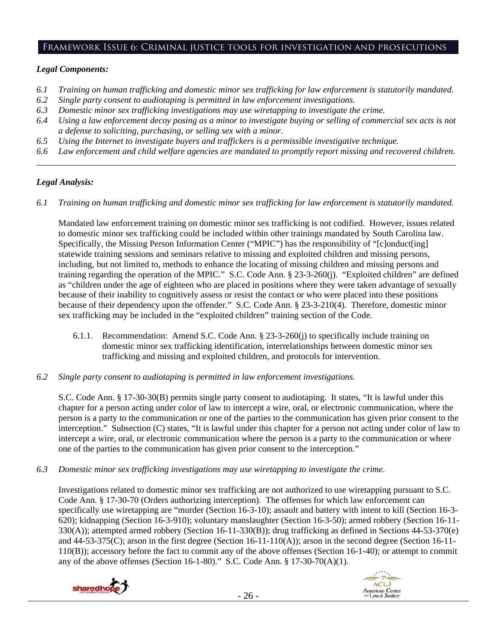## Framework Issue 6: Criminal justice tools for investigation and prosecutions

#### *Legal Components:*

- *6.1 Training on human trafficking and domestic minor sex trafficking for law enforcement is statutorily mandated.*
- *6.2 Single party consent to audiotaping is permitted in law enforcement investigations.*
- *6.3 Domestic minor sex trafficking investigations may use wiretapping to investigate the crime.*
- *6.4 Using a law enforcement decoy posing as a minor to investigate buying or selling of commercial sex acts is not a defense to soliciting, purchasing, or selling sex with a minor.*
- *6.5 Using the Internet to investigate buyers and traffickers is a permissible investigative technique.*
- *6.6 Law enforcement and child welfare agencies are mandated to promptly report missing and recovered children. \_\_\_\_\_\_\_\_\_\_\_\_\_\_\_\_\_\_\_\_\_\_\_\_\_\_\_\_\_\_\_\_\_\_\_\_\_\_\_\_\_\_\_\_\_\_\_\_\_\_\_\_\_\_\_\_\_\_\_\_\_\_\_\_\_\_\_\_\_\_\_\_\_\_\_\_\_\_\_\_\_\_\_\_\_\_\_\_\_\_\_\_\_\_*

## *Legal Analysis:*

*6.1 Training on human trafficking and domestic minor sex trafficking for law enforcement is statutorily mandated.* 

Mandated law enforcement training on domestic minor sex trafficking is not codified. However, issues related to domestic minor sex trafficking could be included within other trainings mandated by South Carolina law. Specifically, the Missing Person Information Center ("MPIC") has the responsibility of "[c]onduct[ing] statewide training sessions and seminars relative to missing and exploited children and missing persons, including, but not limited to, methods to enhance the locating of missing children and missing persons and training regarding the operation of the MPIC." S.C. Code Ann. § 23-3-260(j). "Exploited children" are defined as "children under the age of eighteen who are placed in positions where they were taken advantage of sexually because of their inability to cognitively assess or resist the contact or who were placed into these positions because of their dependency upon the offender." S.C. Code Ann. § 23-3-210(4). Therefore, domestic minor sex trafficking may be included in the "exploited children" training section of the Code.

- 6.1.1. Recommendation: Amend S.C. Code Ann. § 23-3-260(j) to specifically include training on domestic minor sex trafficking identification, interrelationships between domestic minor sex trafficking and missing and exploited children, and protocols for intervention.
- *6.2 Single party consent to audiotaping is permitted in law enforcement investigations.*

S.C. Code Ann. § 17-30-30(B) permits single party consent to audiotaping. It states, "It is lawful under this chapter for a person acting under color of law to intercept a wire, oral, or electronic communication, where the person is a party to the communication or one of the parties to the communication has given prior consent to the interception." Subsection (C) states, "It is lawful under this chapter for a person not acting under color of law to intercept a wire, oral, or electronic communication where the person is a party to the communication or where one of the parties to the communication has given prior consent to the interception."

*6.3 Domestic minor sex trafficking investigations may use wiretapping to investigate the crime.* 

Investigations related to domestic minor sex trafficking are not authorized to use wiretapping pursuant to S.C. Code Ann. § 17-30-70 (Orders authorizing interception). The offenses for which law enforcement can specifically use wiretapping are "murder (Section 16-3-10); assault and battery with intent to kill (Section 16-3- 620); kidnapping (Section 16-3-910); voluntary manslaughter (Section 16-3-50); armed robbery (Section 16-11- 330(A)); attempted armed robbery (Section 16-11-330(B)); drug trafficking as defined in Sections 44-53-370(e) and 44-53-375(C); arson in the first degree (Section 16-11-110(A)); arson in the second degree (Section 16-11- 110(B)); accessory before the fact to commit any of the above offenses (Section 16-1-40); or attempt to commit any of the above offenses (Section 16-1-80)." S.C. Code Ann. § 17-30-70(A)(1).



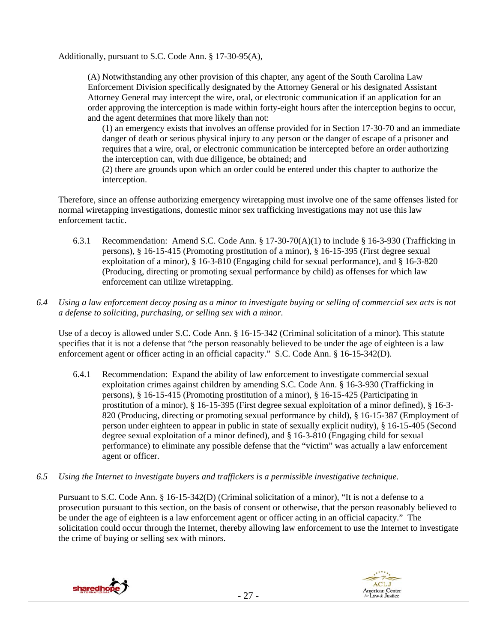Additionally, pursuant to S.C. Code Ann. § 17-30-95(A),

(A) Notwithstanding any other provision of this chapter, any agent of the South Carolina Law Enforcement Division specifically designated by the Attorney General or his designated Assistant Attorney General may intercept the wire, oral, or electronic communication if an application for an order approving the interception is made within forty-eight hours after the interception begins to occur, and the agent determines that more likely than not:

(1) an emergency exists that involves an offense provided for in Section 17-30-70 and an immediate danger of death or serious physical injury to any person or the danger of escape of a prisoner and requires that a wire, oral, or electronic communication be intercepted before an order authorizing the interception can, with due diligence, be obtained; and

(2) there are grounds upon which an order could be entered under this chapter to authorize the interception.

Therefore, since an offense authorizing emergency wiretapping must involve one of the same offenses listed for normal wiretapping investigations, domestic minor sex trafficking investigations may not use this law enforcement tactic.

- 6.3.1 Recommendation: Amend S.C. Code Ann. § 17-30-70(A)(1) to include § 16-3-930 (Trafficking in persons), § 16-15-415 (Promoting prostitution of a minor), § 16-15-395 (First degree sexual exploitation of a minor), § 16-3-810 (Engaging child for sexual performance), and § 16-3-820 (Producing, directing or promoting sexual performance by child) as offenses for which law enforcement can utilize wiretapping.
- *6.4 Using a law enforcement decoy posing as a minor to investigate buying or selling of commercial sex acts is not a defense to soliciting, purchasing, or selling sex with a minor.*

Use of a decoy is allowed under S.C. Code Ann. § 16-15-342 (Criminal solicitation of a minor). This statute specifies that it is not a defense that "the person reasonably believed to be under the age of eighteen is a law enforcement agent or officer acting in an official capacity." S.C. Code Ann. § 16-15-342(D).

- 6.4.1 Recommendation: Expand the ability of law enforcement to investigate commercial sexual exploitation crimes against children by amending S.C. Code Ann. § 16-3-930 (Trafficking in persons), § 16-15-415 (Promoting prostitution of a minor), § 16-15-425 (Participating in prostitution of a minor), § 16-15-395 (First degree sexual exploitation of a minor defined), § 16-3- 820 (Producing, directing or promoting sexual performance by child), § 16-15-387 (Employment of person under eighteen to appear in public in state of sexually explicit nudity), § 16-15-405 (Second degree sexual exploitation of a minor defined), and § 16-3-810 (Engaging child for sexual performance) to eliminate any possible defense that the "victim" was actually a law enforcement agent or officer.
- *6.5 Using the Internet to investigate buyers and traffickers is a permissible investigative technique.*

Pursuant to S.C. Code Ann. § 16-15-342(D) (Criminal solicitation of a minor), "It is not a defense to a prosecution pursuant to this section, on the basis of consent or otherwise, that the person reasonably believed to be under the age of eighteen is a law enforcement agent or officer acting in an official capacity." The solicitation could occur through the Internet, thereby allowing law enforcement to use the Internet to investigate the crime of buying or selling sex with minors.